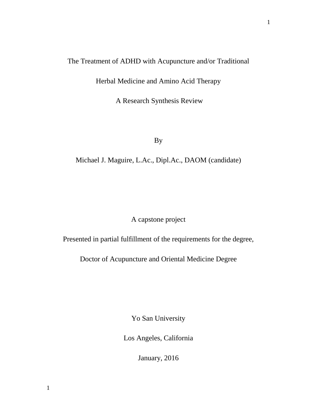# The Treatment of ADHD with Acupuncture and/or Traditional

Herbal Medicine and Amino Acid Therapy

A Research Synthesis Review

By

Michael J. Maguire, L.Ac., Dipl.Ac., DAOM (candidate)

A capstone project

Presented in partial fulfillment of the requirements for the degree,

Doctor of Acupuncture and Oriental Medicine Degree

Yo San University

Los Angeles, California

January, 2016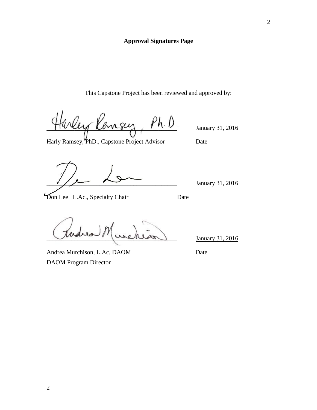# **Approval Signatures Page**

This Capstone Project has been reviewed and approved by:

Evey Kansy, Ph.D. January 31, 2016

Harly Ramsey, PhD., Capstone Project Advisor Date

January 31, 2016

**The L.A.**, Specialty Chair Date

 $J_{\text{annuary}}$  31, 2016

Andrea Murchison, L.Ac, DAOM Date DAOM Program Director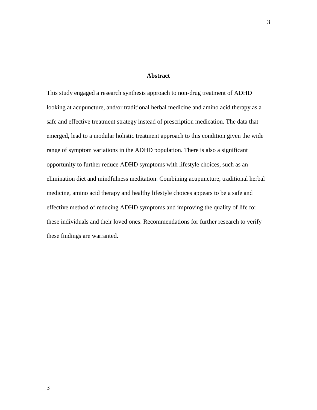#### **Abstract**

This study engaged a research synthesis approach to non-drug treatment of ADHD looking at acupuncture, and/or traditional herbal medicine and amino acid therapy as a safe and effective treatment strategy instead of prescription medication. The data that emerged, lead to a modular holistic treatment approach to this condition given the wide range of symptom variations in the ADHD population. There is also a significant opportunity to further reduce ADHD symptoms with lifestyle choices, such as an elimination diet and mindfulness meditation. Combining acupuncture, traditional herbal medicine, amino acid therapy and healthy lifestyle choices appears to be a safe and effective method of reducing ADHD symptoms and improving the quality of life for these individuals and their loved ones. Recommendations for further research to verify these findings are warranted.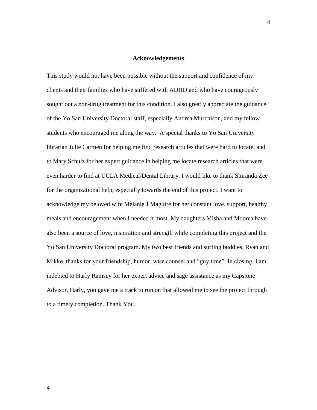#### **Acknowledgements**

This study would not have been possible without the support and confidence of my clients and their families who have suffered with ADHD and who have courageously sought out a non-drug treatment for this condition. I also greatly appreciate the guidance of the Yo San University Doctoral staff, especially Andrea Murchison, and my fellow students who encouraged me along the way. A special thanks to Yo San University librarian Julie Carmen for helping me find research articles that were hard to locate, and to Mary Schulz for her expert guidance in helping me locate research articles that were even harder to find at UCLA Medical/Dental Library. I would like to thank Shiranda Zee for the organizational help, especially towards the end of this project. I want to acknowledge my beloved wife Melanie J Maguire for her constant love, support, healthy meals and encouragement when I needed it most. My daughters Misha and Moorea have also been a source of love, inspiration and strength while completing this project and the Yo San University Doctoral program. My two best friends and surfing buddies, Ryan and Mikke, thanks for your friendship, humor, wise counsel and "guy time". In closing, I am indebted to Harly Ramsey for her expert advice and sage assistance as my Capstone Advisor. Harly, you gave me a track to run on that allowed me to see the project through to a timely completion. Thank You.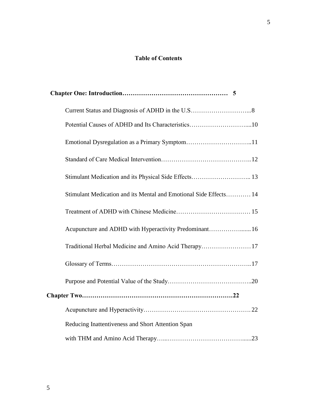# **Table of Contents**

| Potential Causes of ADHD and Its Characteristics10                |  |
|-------------------------------------------------------------------|--|
|                                                                   |  |
|                                                                   |  |
|                                                                   |  |
| Stimulant Medication and its Mental and Emotional Side Effects 14 |  |
|                                                                   |  |
| Acupuncture and ADHD with Hyperactivity Predominant 16            |  |
| Traditional Herbal Medicine and Amino Acid Therapy17              |  |
|                                                                   |  |
|                                                                   |  |
|                                                                   |  |
|                                                                   |  |
| Reducing Inattentiveness and Short Attention Span                 |  |
|                                                                   |  |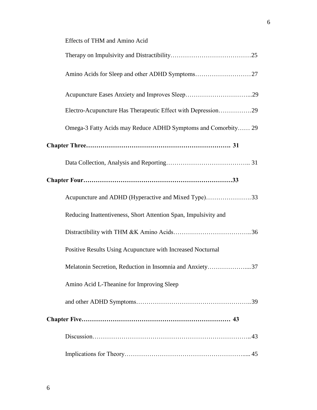| Effects of THM and Amino Acid                                   |
|-----------------------------------------------------------------|
|                                                                 |
| Amino Acids for Sleep and other ADHD Symptoms27                 |
|                                                                 |
| Electro-Acupuncture Has Therapeutic Effect with Depression29    |
| Omega-3 Fatty Acids may Reduce ADHD Symptoms and Comorbity 29   |
|                                                                 |
|                                                                 |
|                                                                 |
| Acupuncture and ADHD (Hyperactive and Mixed Type)33             |
| Reducing Inattentiveness, Short Attention Span, Impulsivity and |
|                                                                 |
| Positive Results Using Acupuncture with Increased Nocturnal     |
| Melatonin Secretion, Reduction in Insomnia and Anxiety37        |
| Amino Acid L-Theanine for Improving Sleep                       |
|                                                                 |
|                                                                 |
|                                                                 |
|                                                                 |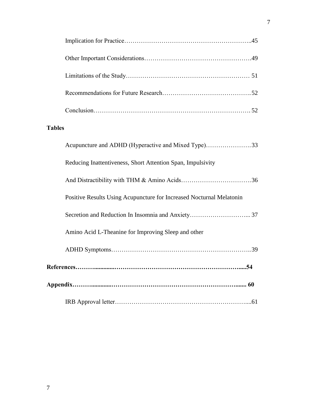# **Tables**

| Acupuncture and ADHD (Hyperactive and Mixed Type)33                  |
|----------------------------------------------------------------------|
| Reducing Inattentiveness, Short Attention Span, Impulsivity          |
|                                                                      |
| Positive Results Using Acupuncture for Increased Nocturnal Melatonin |
|                                                                      |
| Amino Acid L-Theanine for Improving Sleep and other                  |
|                                                                      |
|                                                                      |
|                                                                      |
|                                                                      |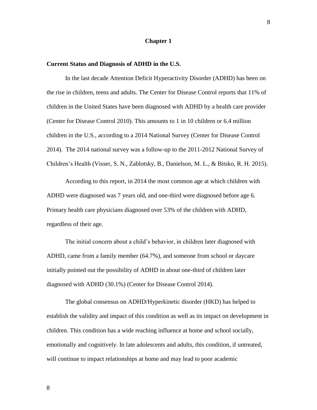#### **Chapter 1**

#### **Current Status and Diagnosis of ADHD in the U.S.**

In the last decade Attention Deficit Hyperactivity Disorder (ADHD) has been on the rise in children, teens and adults. The Center for Disease Control reports that 11% of children in the United States have been diagnosed with ADHD by a health care provider (Center for Disease Control 2010). This amounts to 1 in 10 children or 6.4 million children in the U.S., according to a 2014 National Survey (Center for Disease Control 2014). The 2014 national survey was a follow-up to the 2011-2012 National Survey of Children's Health (Visser, S. N., Zablotsky, B., Danielson, M. L., & Bitsko, R. H. 2015).

According to this report, in 2014 the most common age at which children with ADHD were diagnosed was 7 years old, and one-third were diagnosed before age 6. Primary health care physicians diagnosed over 53% of the children with ADHD, regardless of their age.

The initial concern about a child's behavior, in children later diagnosed with ADHD, came from a family member (64.7%), and someone from school or daycare initially pointed out the possibility of ADHD in about one-third of children later diagnosed with ADHD (30.1%) (Center for Disease Control 2014).

The global consensus on ADHD/Hyperkinetic disorder (HKD) has helped to establish the validity and impact of this condition as well as its impact on development in children. This condition has a wide reaching influence at home and school socially, emotionally and cognitively. In late adolescents and adults, this condition, if untreated, will continue to impact relationships at home and may lead to poor academic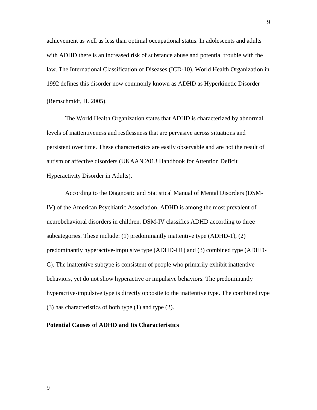achievement as well as less than optimal occupational status. In adolescents and adults with ADHD there is an increased risk of substance abuse and potential trouble with the law. The International Classification of Diseases (ICD-10), World Health Organization in 1992 defines this disorder now commonly known as ADHD as Hyperkinetic Disorder (Remschmidt, H. 2005).

The World Health Organization states that ADHD is characterized by abnormal levels of inattentiveness and restlessness that are pervasive across situations and persistent over time. These characteristics are easily observable and are not the result of autism or affective disorders (UKAAN 2013 Handbook for Attention Deficit Hyperactivity Disorder in Adults).

According to the Diagnostic and Statistical Manual of Mental Disorders (DSM-IV) of the American Psychiatric Association, ADHD is among the most prevalent of neurobehavioral disorders in children. DSM-IV classifies ADHD according to three subcategories. These include: (1) predominantly inattentive type (ADHD-1), (2) predominantly hyperactive-impulsive type (ADHD-H1) and (3) combined type (ADHD-C). The inattentive subtype is consistent of people who primarily exhibit inattentive behaviors, yet do not show hyperactive or impulsive behaviors. The predominantly hyperactive-impulsive type is directly opposite to the inattentive type. The combined type (3) has characteristics of both type (1) and type (2).

# **Potential Causes of ADHD and Its Characteristics**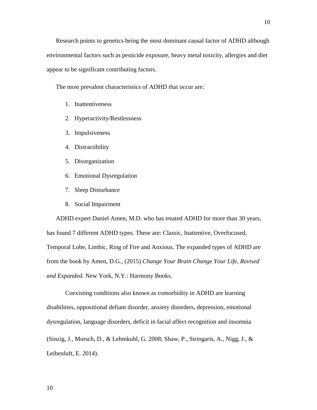The most prevalent characteristics of ADHD that occur are:

- 1. Inattentiveness
- 2. Hyperactivity/Restlessness

appear to be significant contributing factors.

- 3. Impulsiveness
- 4. Distractibility
- 5. Disorganization
- 6. Emotional Dysregulation
- 7. Sleep Disturbance
- 8. Social Impairment

ADHD expert Daniel Amen, M.D. who has treated ADHD for more than 30 years, has found 7 different ADHD types. These are: Classic, Inattentive, Overfocused, Temporal Lobe, Limbic, Ring of Fire and Anxious. The expanded types of ADHD are from the book by Amen, D.G., (2015) *Change Your Brain Change Your Life, Revised and Expanded*. New York, N.Y.: Harmony Books.

Coexisting conditions also known as comorbidity in ADHD are learning disabilities, oppositional defiant disorder, anxiety disorders, depression, emotional dysregulation, language disorders, deficit in facial affect recognition and insomnia (Sinzig, J., Morsch, D., & Lehmkuhl, G. 2008; Shaw, P., Stringaris, A., Nigg, J., & Leibenluft, E. 2014).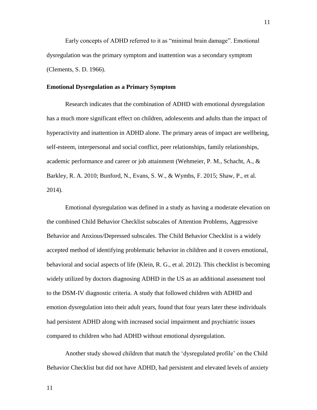Early concepts of ADHD referred to it as "minimal brain damage". Emotional dysregulation was the primary symptom and inattention was a secondary symptom (Clements, S. D. 1966).

#### **Emotional Dysregulation as a Primary Symptom**

Research indicates that the combination of ADHD with emotional dysregulation has a much more significant effect on children, adolescents and adults than the impact of hyperactivity and inattention in ADHD alone. The primary areas of impact are wellbeing, self-esteem, interpersonal and social conflict, peer relationships, family relationships, academic performance and career or job attainment (Wehmeier, P. M., Schacht, A., & Barkley, R. A. 2010; Bunford, N., Evans, S. W., & Wymbs, F. 2015; Shaw, P., et al. 2014).

Emotional dysregulation was defined in a study as having a moderate elevation on the combined Child Behavior Checklist subscales of Attention Problems, Aggressive Behavior and Anxious/Depressed subscales. The Child Behavior Checklist is a widely accepted method of identifying problematic behavior in children and it covers emotional, behavioral and social aspects of life (Klein, R. G., et al. 2012). This checklist is becoming widely utilized by doctors diagnosing ADHD in the US as an additional assessment tool to the DSM-IV diagnostic criteria. A study that followed children with ADHD and emotion dysregulation into their adult years, found that four years later these individuals had persistent ADHD along with increased social impairment and psychiatric issues compared to children who had ADHD without emotional dysregulation.

Another study showed children that match the 'dysregulated profile' on the Child Behavior Checklist but did not have ADHD, had persistent and elevated levels of anxiety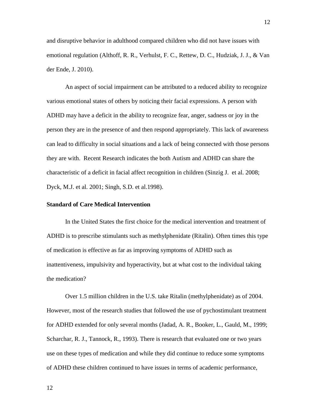and disruptive behavior in adulthood compared children who did not have issues with emotional regulation (Althoff, R. R., Verhulst, F. C., Rettew, D. C., Hudziak, J. J., & Van der Ende, J. 2010).

An aspect of social impairment can be attributed to a reduced ability to recognize various emotional states of others by noticing their facial expressions. A person with ADHD may have a deficit in the ability to recognize fear, anger, sadness or joy in the person they are in the presence of and then respond appropriately. This lack of awareness can lead to difficulty in social situations and a lack of being connected with those persons they are with. Recent Research indicates the both Autism and ADHD can share the characteristic of a deficit in facial affect recognition in children (Sinzig J. et al. 2008; Dyck, M.J. et al. 2001; Singh, S.D. et al.1998).

# **Standard of Care Medical Intervention**

In the United States the first choice for the medical intervention and treatment of ADHD is to prescribe stimulants such as methylphenidate (Ritalin). Often times this type of medication is effective as far as improving symptoms of ADHD such as inattentiveness, impulsivity and hyperactivity, but at what cost to the individual taking the medication?

Over 1.5 million children in the U.S. take Ritalin (methylphenidate) as of 2004. However, most of the research studies that followed the use of pychostimulant treatment for ADHD extended for only several months (Jadad, A. R., Booker, L., Gauld, M., 1999; Scharchar, R. J., Tannock, R., 1993). There is research that evaluated one or two years use on these types of medication and while they did continue to reduce some symptoms of ADHD these children continued to have issues in terms of academic performance,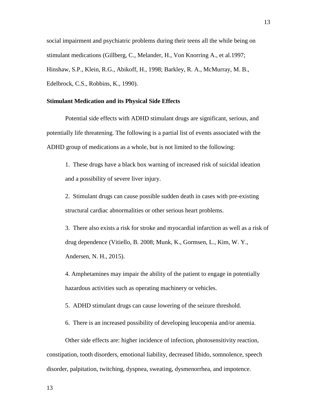social impairment and psychiatric problems during their teens all the while being on stimulant medications (Gillberg, C., Melander, H., Von Knorring A., et al.1997; Hinshaw, S.P., Klein, R.G., Abikoff, H., 1998; Barkley, R. A., McMurray, M. B., Edelbrock, C.S., Robbins, K., 1990).

#### **Stimulant Medication and its Physical Side Effects**

Potential side effects with ADHD stimulant drugs are significant, serious, and potentially life threatening. The following is a partial list of events associated with the ADHD group of medications as a whole, but is not limited to the following:

1. These drugs have a black box warning of increased risk of suicidal ideation and a possibility of severe liver injury.

2. Stimulant drugs can cause possible sudden death in cases with pre-existing structural cardiac abnormalities or other serious heart problems.

3. There also exists a risk for stroke and myocardial infarction as well as a risk of drug dependence (Vitiello, B. 2008; Munk, K., Gormsen, L., Kim, W. Y., Andersen, N. H., 2015).

4. Amphetamines may impair the ability of the patient to engage in potentially hazardous activities such as operating machinery or vehicles.

5. ADHD stimulant drugs can cause lowering of the seizure threshold.

6. There is an increased possibility of developing leucopenia and/or anemia.

Other side effects are: higher incidence of infection, photosensitivity reaction, constipation, tooth disorders, emotional liability, decreased libido, somnolence, speech disorder, palpitation, twitching, dyspnea, sweating, dysmenorrhea, and impotence.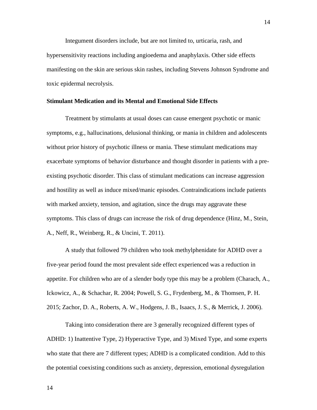Integument disorders include, but are not limited to, urticaria, rash, and hypersensitivity reactions including angioedema and anaphylaxis. Other side effects manifesting on the skin are serious skin rashes, including Stevens Johnson Syndrome and toxic epidermal necrolysis.

#### **Stimulant Medication and its Mental and Emotional Side Effects**

Treatment by stimulants at usual doses can cause emergent psychotic or manic symptoms, e.g., hallucinations, delusional thinking, or mania in children and adolescents without prior history of psychotic illness or mania. These stimulant medications may exacerbate symptoms of behavior disturbance and thought disorder in patients with a preexisting psychotic disorder. This class of stimulant medications can increase aggression and hostility as well as induce mixed/manic episodes. Contraindications include patients with marked anxiety, tension, and agitation, since the drugs may aggravate these symptoms. This class of drugs can increase the risk of drug dependence (Hinz, M., Stein, A., Neff, R., Weinberg, R., & Uncini, T. 2011).

A study that followed 79 children who took methylphenidate for ADHD over a five-year period found the most prevalent side effect experienced was a reduction in appetite. For children who are of a slender body type this may be a problem (Charach, A., Ickowicz, A., & Schachar, R. 2004; Powell, S. G., Frydenberg, M., & Thomsen, P. H. 2015; Zachor, D. A., Roberts, A. W., Hodgens, J. B., Isaacs, J. S., & Merrick, J. 2006).

Taking into consideration there are 3 generally recognized different types of ADHD: 1) Inattentive Type, 2) Hyperactive Type, and 3) Mixed Type, and some experts who state that there are 7 different types; ADHD is a complicated condition. Add to this the potential coexisting conditions such as anxiety, depression, emotional dysregulation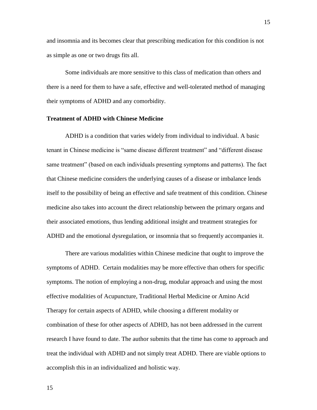and insomnia and its becomes clear that prescribing medication for this condition is not as simple as one or two drugs fits all.

Some individuals are more sensitive to this class of medication than others and there is a need for them to have a safe, effective and well-tolerated method of managing their symptoms of ADHD and any comorbidity.

#### **Treatment of ADHD with Chinese Medicine**

ADHD is a condition that varies widely from individual to individual. A basic tenant in Chinese medicine is "same disease different treatment" and "different disease same treatment" (based on each individuals presenting symptoms and patterns). The fact that Chinese medicine considers the underlying causes of a disease or imbalance lends itself to the possibility of being an effective and safe treatment of this condition. Chinese medicine also takes into account the direct relationship between the primary organs and their associated emotions, thus lending additional insight and treatment strategies for ADHD and the emotional dysregulation, or insomnia that so frequently accompanies it.

There are various modalities within Chinese medicine that ought to improve the symptoms of ADHD. Certain modalities may be more effective than others for specific symptoms. The notion of employing a non-drug, modular approach and using the most effective modalities of Acupuncture, Traditional Herbal Medicine or Amino Acid Therapy for certain aspects of ADHD, while choosing a different modality or combination of these for other aspects of ADHD, has not been addressed in the current research I have found to date. The author submits that the time has come to approach and treat the individual with ADHD and not simply treat ADHD. There are viable options to accomplish this in an individualized and holistic way.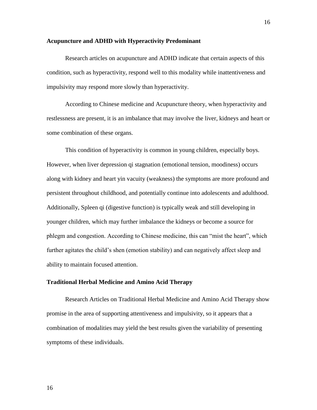#### **Acupuncture and ADHD with Hyperactivity Predominant**

Research articles on acupuncture and ADHD indicate that certain aspects of this condition, such as hyperactivity, respond well to this modality while inattentiveness and impulsivity may respond more slowly than hyperactivity.

According to Chinese medicine and Acupuncture theory, when hyperactivity and restlessness are present, it is an imbalance that may involve the liver, kidneys and heart or some combination of these organs.

This condition of hyperactivity is common in young children, especially boys. However, when liver depression qi stagnation (emotional tension, moodiness) occurs along with kidney and heart yin vacuity (weakness) the symptoms are more profound and persistent throughout childhood, and potentially continue into adolescents and adulthood. Additionally, Spleen qi (digestive function) is typically weak and still developing in younger children, which may further imbalance the kidneys or become a source for phlegm and congestion. According to Chinese medicine, this can "mist the heart", which further agitates the child's shen (emotion stability) and can negatively affect sleep and ability to maintain focused attention.

### **Traditional Herbal Medicine and Amino Acid Therapy**

Research Articles on Traditional Herbal Medicine and Amino Acid Therapy show promise in the area of supporting attentiveness and impulsivity, so it appears that a combination of modalities may yield the best results given the variability of presenting symptoms of these individuals.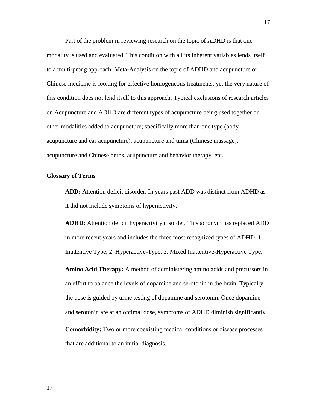Part of the problem in reviewing research on the topic of ADHD is that one modality is used and evaluated. This condition with all its inherent variables lends itself to a multi-prong approach. Meta-Analysis on the topic of ADHD and acupuncture or Chinese medicine is looking for effective homogeneous treatments, yet the very nature of this condition does not lend itself to this approach. Typical exclusions of research articles on Acupuncture and ADHD are different types of acupuncture being used together or other modalities added to acupuncture; specifically more than one type (body acupuncture and ear acupuncture), acupuncture and tuina (Chinese massage), acupuncture and Chinese herbs, acupuncture and behavior therapy, etc.

#### **Glossary of Terms**

**ADD:** Attention deficit disorder. In years past ADD was distinct from ADHD as it did not include symptoms of hyperactivity.

**ADHD:** Attention deficit hyperactivity disorder. This acronym has replaced ADD in more recent years and includes the three most recognized types of ADHD. 1. Inattentive Type, 2. Hyperactive-Type, 3. Mixed Inattentive-Hyperactive Type.

**Amino Acid Therapy:** A method of administering amino acids and precursors in an effort to balance the levels of dopamine and serotonin in the brain. Typically the dose is guided by urine testing of dopamine and serotonin. Once dopamine and serotonin are at an optimal dose, symptoms of ADHD diminish significantly.

**Comorbidity:** Two or more coexisting medical conditions or disease processes that are additional to an initial diagnosis.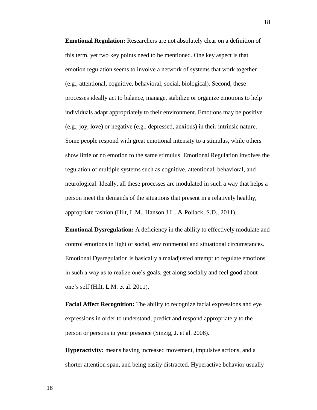**Emotional Regulation:** Researchers are not absolutely clear on a definition of this term, yet two key points need to be mentioned. One key aspect is that emotion regulation seems to involve a network of systems that work together (e.g., attentional, cognitive, behavioral, social, biological). Second, these processes ideally act to balance, manage, stabilize or organize emotions to help individuals adapt appropriately to their environment. Emotions may be positive (e.g., joy, love) or negative (e.g., depressed, anxious) in their intrinsic nature. Some people respond with great emotional intensity to a stimulus, while others show little or no emotion to the same stimulus. Emotional Regulation involves the regulation of multiple systems such as cognitive, attentional, behavioral, and neurological. Ideally, all these processes are modulated in such a way that helps a person meet the demands of the situations that present in a relatively healthy, appropriate fashion (Hilt, L.M., Hanson J.L., & Pollack, S.D., 2011).

**Emotional Dysregulation:** A deficiency in the ability to effectively modulate and control emotions in light of social, environmental and situational circumstances. Emotional Dysregulation is basically a maladjusted attempt to regulate emotions in such a way as to realize one's goals, get along socially and feel good about one's self (Hilt, L.M. et al. 2011).

**Facial Affect Recognition:** The ability to recognize facial expressions and eye expressions in order to understand, predict and respond appropriately to the person or persons in your presence (Sinzig, J. et al. 2008).

**Hyperactivity:** means having increased movement, impulsive actions, and a shorter attention span, and being easily distracted. Hyperactive behavior usually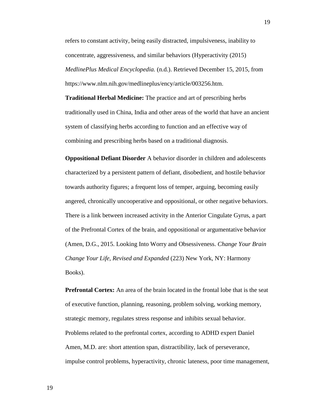refers to constant activity, being easily distracted, impulsiveness, inability to concentrate, aggressiveness, and similar behaviors (Hyperactivity (2015) *MedlinePlus Medical Encyclopedia.* (n.d.). Retrieved December 15, 2015, from https://www.nlm.nih.gov/medlineplus/ency/article/003256.htm.

**Traditional Herbal Medicine:** The practice and art of prescribing herbs traditionally used in China, India and other areas of the world that have an ancient system of classifying herbs according to function and an effective way of combining and prescribing herbs based on a traditional diagnosis.

**Oppositional Defiant Disorder** A behavior disorder in children and adolescents characterized by a persistent pattern of defiant, disobedient, and hostile behavior towards authority figures; a frequent loss of temper, arguing, becoming easily angered, chronically uncooperative and oppositional, or other negative behaviors. There is a link between increased activity in the Anterior Cingulate Gyrus, a part of the Prefrontal Cortex of the brain, and oppositional or argumentative behavior (Amen, D.G., 2015. Looking Into Worry and Obsessiveness. *Change Your Brain Change Your Life, Revised and Expanded* (223) New York, NY: Harmony Books).

**Prefrontal Cortex:** An area of the brain located in the frontal lobe that is the seat of executive function, planning, reasoning, problem solving, working memory, strategic memory, regulates stress response and inhibits sexual behavior. Problems related to the prefrontal cortex, according to ADHD expert Daniel Amen, M.D. are: short attention span, distractibility, lack of perseverance, impulse control problems, hyperactivity, chronic lateness, poor time management,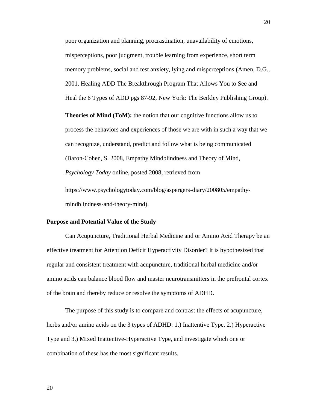poor organization and planning, procrastination, unavailability of emotions, misperceptions, poor judgment, trouble learning from experience, short term memory problems, social and test anxiety, lying and misperceptions (Amen, D.G., 2001. Healing ADD The Breakthrough Program That Allows You to See and Heal the 6 Types of ADD pgs 87-92, New York: The Berkley Publishing Group).

**Theories of Mind (ToM):** the notion that our cognitive functions allow us to process the behaviors and experiences of those we are with in such a way that we can recognize, understand, predict and follow what is being communicated (Baron-Cohen, S. 2008, Empathy Mindblindness and Theory of Mind, *Psychology Today* online, posted 2008, retrieved from

https://www.psychologytoday.com/blog/aspergers-diary/200805/empathymindblindness-and-theory-mind).

#### **Purpose and Potential Value of the Study**

Can Acupuncture, Traditional Herbal Medicine and or Amino Acid Therapy be an effective treatment for Attention Deficit Hyperactivity Disorder? It is hypothesized that regular and consistent treatment with acupuncture, traditional herbal medicine and/or amino acids can balance blood flow and master neurotransmitters in the prefrontal cortex of the brain and thereby reduce or resolve the symptoms of ADHD.

The purpose of this study is to compare and contrast the effects of acupuncture, herbs and/or amino acids on the 3 types of ADHD: 1.) Inattentive Type, 2.) Hyperactive Type and 3.) Mixed Inattentive-Hyperactive Type, and investigate which one or combination of these has the most significant results.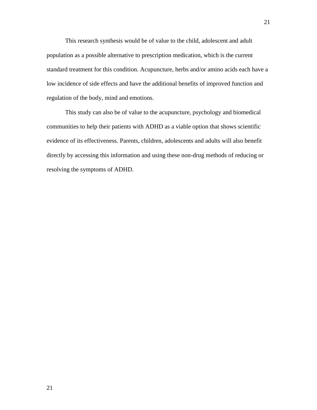This research synthesis would be of value to the child, adolescent and adult population as a possible alternative to prescription medication, which is the current standard treatment for this condition. Acupuncture, herbs and/or amino acids each have a low incidence of side effects and have the additional benefits of improved function and regulation of the body, mind and emotions.

This study can also be of value to the acupuncture, psychology and biomedical communities to help their patients with ADHD as a viable option that shows scientific evidence of its effectiveness. Parents, children, adolescents and adults will also benefit directly by accessing this information and using these non-drug methods of reducing or resolving the symptoms of ADHD.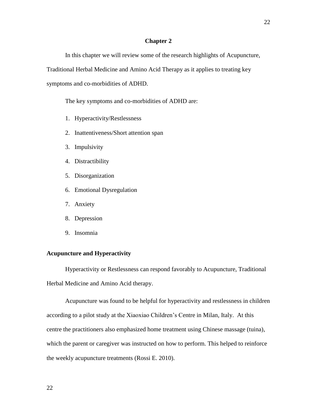#### **Chapter 2**

In this chapter we will review some of the research highlights of Acupuncture,

Traditional Herbal Medicine and Amino Acid Therapy as it applies to treating key

symptoms and co-morbidities of ADHD.

The key symptoms and co-morbidities of ADHD are:

- 1. Hyperactivity/Restlessness
- 2. Inattentiveness/Short attention span
- 3. Impulsivity
- 4. Distractibility
- 5. Disorganization
- 6. Emotional Dysregulation
- 7. Anxiety
- 8. Depression
- 9. Insomnia

# **Acupuncture and Hyperactivity**

Hyperactivity or Restlessness can respond favorably to Acupuncture, Traditional Herbal Medicine and Amino Acid therapy.

Acupuncture was found to be helpful for hyperactivity and restlessness in children according to a pilot study at the Xiaoxiao Children's Centre in Milan, Italy. At this centre the practitioners also emphasized home treatment using Chinese massage (tuina), which the parent or caregiver was instructed on how to perform. This helped to reinforce the weekly acupuncture treatments (Rossi E. 2010).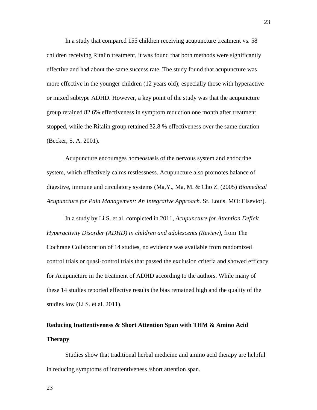In a study that compared 155 children receiving acupuncture treatment vs. 58 children receiving Ritalin treatment, it was found that both methods were significantly effective and had about the same success rate. The study found that acupuncture was more effective in the younger children (12 years old); especially those with hyperactive or mixed subtype ADHD. However, a key point of the study was that the acupuncture group retained 82.6% effectiveness in symptom reduction one month after treatment stopped, while the Ritalin group retained 32.8 % effectiveness over the same duration (Becker, S. A. 2001).

Acupuncture encourages homeostasis of the nervous system and endocrine system, which effectively calms restlessness. Acupuncture also promotes balance of digestive, immune and circulatory systems (Ma,Y., Ma, M. & Cho Z. (2005) *Biomedical Acupuncture for Pain Management: An Integrative Approach*. St. Louis, MO: Elsevior).

In a study by Li S. et al. completed in 2011, *Acupuncture for Attention Deficit Hyperactivity Disorder (ADHD) in children and adolescents (Review)*, from The Cochrane Collaboration of 14 studies, no evidence was available from randomized control trials or quasi-control trials that passed the exclusion criteria and showed efficacy for Acupuncture in the treatment of ADHD according to the authors. While many of these 14 studies reported effective results the bias remained high and the quality of the studies low (Li S. et al. 2011).

# **Reducing Inattentiveness & Short Attention Span with THM & Amino Acid Therapy**

Studies show that traditional herbal medicine and amino acid therapy are helpful in reducing symptoms of inattentiveness /short attention span.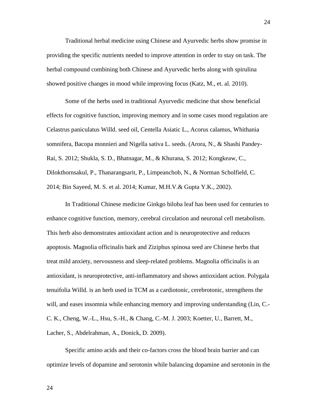Traditional herbal medicine using Chinese and Ayurvedic herbs show promise in providing the specific nutrients needed to improve attention in order to stay on task. The herbal compound combining both Chinese and Ayurvedic herbs along with spirulina showed positive changes in mood while improving focus (Katz, M., et. al. 2010).

Some of the herbs used in traditional Ayurvedic medicine that show beneficial effects for cognitive function, improving memory and in some cases mood regulation are Celastrus paniculatus Willd. seed oil, Centella Asiatic L., Acorus calamus, Whithania somnifera, Bacopa monnieri and Nigella sativa L. seeds. (Arora, N., & Shashi Pandey-Rai, S. 2012; Shukla, S. D., Bhatnagar, M., & Khurana, S. 2012; Kongkeaw, C., Dilokthornsakul, P., Thanarangsarit, P., Limpeanchob, N., & Norman Scholfield, C. 2014; Bin Sayeed, M. S. et al. 2014; Kumar, M.H.V.& Gupta Y.K., 2002).

In Traditional Chinese medicine Ginkgo biloba leaf has been used for centuries to enhance cognitive function, memory, cerebral circulation and neuronal cell metabolism. This herb also demonstrates antioxidant action and is neuroprotective and reduces apoptosis. Magnolia officinalis bark and Ziziphus spinosa seed are Chinese herbs that treat mild anxiety, nervousness and sleep-related problems. Magnolia officinalis is an antioxidant, is neuroprotective, anti-inflammatory and shows antioxidant action. Polygala tenuifolia Willd. is an herb used in TCM as a cardiotonic, cerebrotonic, strengthens the will, and eases insomnia while enhancing memory and improving understanding (Lin, C. C. K., Cheng, W.-L., Hsu, S.-H., & Chang, C.-M. J. 2003; Koetter, U., Barrett, M., Lacher, S., Abdelrahman, A., Donick, D. 2009).

Specific amino acids and their co-factors cross the blood brain barrier and can optimize levels of dopamine and serotonin while balancing dopamine and serotonin in the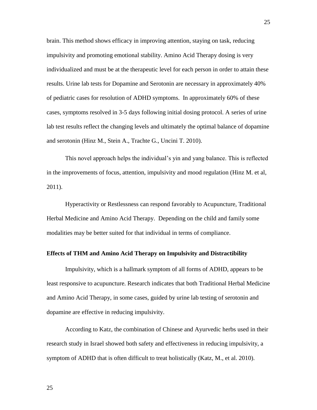brain. This method shows efficacy in improving attention, staying on task, reducing impulsivity and promoting emotional stability. Amino Acid Therapy dosing is very individualized and must be at the therapeutic level for each person in order to attain these results. Urine lab tests for Dopamine and Serotonin are necessary in approximately 40% of pediatric cases for resolution of ADHD symptoms. In approximately 60% of these cases, symptoms resolved in 3-5 days following initial dosing protocol. A series of urine lab test results reflect the changing levels and ultimately the optimal balance of dopamine and serotonin (Hinz M., Stein A., Trachte G., Uncini T. 2010).

This novel approach helps the individual's yin and yang balance. This is reflected in the improvements of focus, attention, impulsivity and mood regulation (Hinz M. et al, 2011).

Hyperactivity or Restlessness can respond favorably to Acupuncture, Traditional Herbal Medicine and Amino Acid Therapy. Depending on the child and family some modalities may be better suited for that individual in terms of compliance.

#### **Effects of THM and Amino Acid Therapy on Impulsivity and Distractibility**

Impulsivity, which is a hallmark symptom of all forms of ADHD, appears to be least responsive to acupuncture. Research indicates that both Traditional Herbal Medicine and Amino Acid Therapy, in some cases, guided by urine lab testing of serotonin and dopamine are effective in reducing impulsivity.

According to Katz, the combination of Chinese and Ayurvedic herbs used in their research study in Israel showed both safety and effectiveness in reducing impulsivity, a symptom of ADHD that is often difficult to treat holistically (Katz, M., et al. 2010).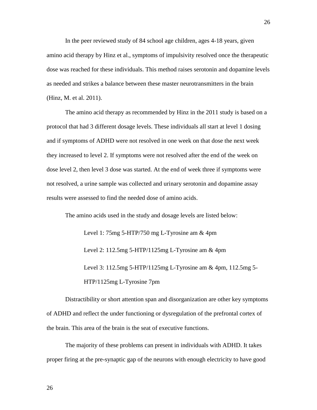In the peer reviewed study of 84 school age children, ages 4-18 years, given amino acid therapy by Hinz et al., symptoms of impulsivity resolved once the therapeutic dose was reached for these individuals. This method raises serotonin and dopamine levels as needed and strikes a balance between these master neurotransmitters in the brain (Hinz, M. et al. 2011).

The amino acid therapy as recommended by Hinz in the 2011 study is based on a protocol that had 3 different dosage levels. These individuals all start at level 1 dosing and if symptoms of ADHD were not resolved in one week on that dose the next week they increased to level 2. If symptoms were not resolved after the end of the week on dose level 2, then level 3 dose was started. At the end of week three if symptoms were not resolved, a urine sample was collected and urinary serotonin and dopamine assay results were assessed to find the needed dose of amino acids.

The amino acids used in the study and dosage levels are listed below:

Level 1: 75mg 5-HTP/750 mg L-Tyrosine am & 4pm Level 2: 112.5mg 5-HTP/1125mg L-Tyrosine am & 4pm Level 3: 112.5mg 5-HTP/1125mg L-Tyrosine am & 4pm, 112.5mg 5- HTP/1125mg L-Tyrosine 7pm

Distractibility or short attention span and disorganization are other key symptoms of ADHD and reflect the under functioning or dysregulation of the prefrontal cortex of the brain. This area of the brain is the seat of executive functions.

The majority of these problems can present in individuals with ADHD. It takes proper firing at the pre-synaptic gap of the neurons with enough electricity to have good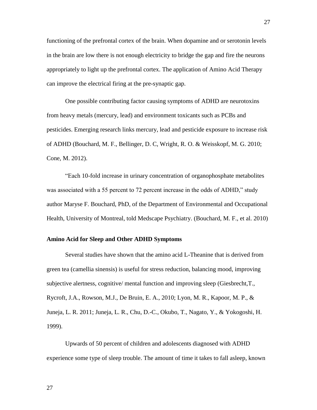functioning of the prefrontal cortex of the brain. When dopamine and or serotonin levels in the brain are low there is not enough electricity to bridge the gap and fire the neurons appropriately to light up the prefrontal cortex. The application of Amino Acid Therapy can improve the electrical firing at the pre-synaptic gap.

One possible contributing factor causing symptoms of ADHD are neurotoxins from heavy metals (mercury, lead) and environment toxicants such as PCBs and pesticides. Emerging research links mercury, lead and pesticide exposure to increase risk of ADHD (Bouchard, M. F., Bellinger, D. C, Wright, R. O. & Weisskopf, M. G. 2010; Cone, M. 2012).

"Each 10-fold increase in urinary concentration of organophosphate metabolites was associated with a 55 percent to 72 percent increase in the odds of ADHD," study author Maryse F. Bouchard, PhD, of the Department of Environmental and Occupational Health, University of Montreal, told Medscape Psychiatry. (Bouchard, M. F., et al. 2010)

## **Amino Acid for Sleep and Other ADHD Symptoms**

Several studies have shown that the amino acid L-Theanine that is derived from green tea (camellia sinensis) is useful for stress reduction, balancing mood, improving subjective alertness, cognitive/ mental function and improving sleep (Giesbrecht,T., Rycroft, J.A., Rowson, M.J., De Bruin, E. A., 2010; Lyon, M. R., Kapoor, M. P., & Juneja, L. R. 2011; Juneja, L. R., Chu, D.-C., Okubo, T., Nagato, Y., & Yokogoshi, H. 1999).

Upwards of 50 percent of children and adolescents diagnosed with ADHD experience some type of sleep trouble. The amount of time it takes to fall asleep, known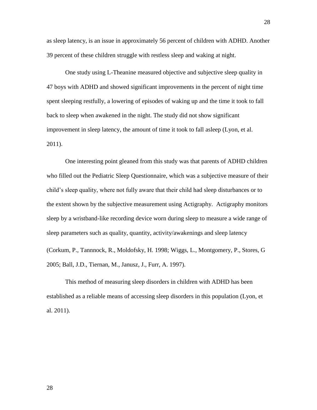as sleep latency, is an issue in approximately 56 percent of children with ADHD. Another 39 percent of these children struggle with restless sleep and waking at night.

One study using L-Theanine measured objective and subjective sleep quality in 47 boys with ADHD and showed significant improvements in the percent of night time spent sleeping restfully, a lowering of episodes of waking up and the time it took to fall back to sleep when awakened in the night. The study did not show significant improvement in sleep latency, the amount of time it took to fall asleep (Lyon, et al. 2011).

One interesting point gleaned from this study was that parents of ADHD children who filled out the Pediatric Sleep Questionnaire, which was a subjective measure of their child's sleep quality, where not fully aware that their child had sleep disturbances or to the extent shown by the subjective measurement using Actigraphy. Actigraphy monitors sleep by a wristband-like recording device worn during sleep to measure a wide range of sleep parameters such as quality, quantity, activity/awakenings and sleep latency (Corkum, P., Tannnock, R., Moldofsky, H. 1998; Wiggs, L., Montgomery, P., Stores, G

2005; Ball, J.D., Tiernan, M., Janusz, J., Furr, A. 1997).

This method of measuring sleep disorders in children with ADHD has been established as a reliable means of accessing sleep disorders in this population (Lyon, et al. 2011).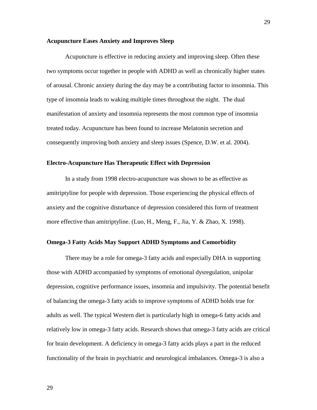#### **Acupuncture Eases Anxiety and Improves Sleep**

Acupuncture is effective in reducing anxiety and improving sleep. Often these two symptoms occur together in people with ADHD as well as chronically higher states of arousal. Chronic anxiety during the day may be a contributing factor to insomnia. This type of insomnia leads to waking multiple times throughout the night. The dual manifestation of anxiety and insomnia represents the most common type of insomnia treated today. Acupuncture has been found to increase Melatonin secretion and consequently improving both anxiety and sleep issues (Spence, D.W. et al. 2004).

#### **Electro-Acupuncture Has Therapeutic Effect with Depression**

In a study from 1998 electro-acupuncture was shown to be as effective as amitriptyline for people with depression. Those experiencing the physical effects of anxiety and the cognitive disturbance of depression considered this form of treatment more effective than amitriptyline. (Luo, H., Meng, F., Jia, Y. & Zhao, X. 1998).

# **Omega-3 Fatty Acids May Support ADHD Symptoms and Comorbidity**

There may be a role for omega-3 fatty acids and especially DHA in supporting those with ADHD accompanied by symptoms of emotional dysregulation, unipolar depression, cognitive performance issues, insomnia and impulsivity. The potential benefit of balancing the omega-3 fatty acids to improve symptoms of ADHD holds true for adults as well. The typical Western diet is particularly high in omega-6 fatty acids and relatively low in omega-3 fatty acids. Research shows that omega-3 fatty acids are critical for brain development. A deficiency in omega-3 fatty acids plays a part in the reduced functionality of the brain in psychiatric and neurological imbalances. Omega-3 is also a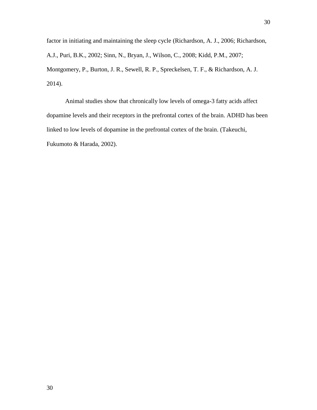factor in initiating and maintaining the sleep cycle (Richardson, A. J., 2006; Richardson, A.J., Puri, B.K., 2002; Sinn, N., Bryan, J., Wilson, C., 2008; Kidd, P.M., 2007; Montgomery, P., Burton, J. R., Sewell, R. P., Spreckelsen, T. F., & Richardson, A. J. 2014).

Animal studies show that chronically low levels of omega-3 fatty acids affect dopamine levels and their receptors in the prefrontal cortex of the brain. ADHD has been linked to low levels of dopamine in the prefrontal cortex of the brain. (Takeuchi, Fukumoto & Harada, 2002).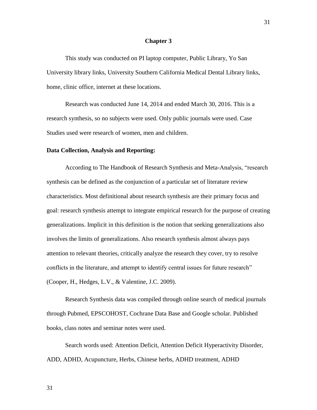#### **Chapter 3**

This study was conducted on PI laptop computer, Public Library, Yo San University library links, University Southern California Medical Dental Library links, home, clinic office, internet at these locations.

Research was conducted June 14, 2014 and ended March 30, 2016. This is a research synthesis, so no subjects were used. Only public journals were used. Case Studies used were research of women, men and children.

#### **Data Collection, Analysis and Reporting:**

According to The Handbook of Research Synthesis and Meta-Analysis, "research synthesis can be defined as the conjunction of a particular set of literature review characteristics. Most definitional about research synthesis are their primary focus and goal: research synthesis attempt to integrate empirical research for the purpose of creating generalizations. Implicit in this definition is the notion that seeking generalizations also involves the limits of generalizations. Also research synthesis almost always pays attention to relevant theories, critically analyze the research they cover, try to resolve conflicts in the literature, and attempt to identify central issues for future research" (Cooper, H., Hedges, L.V., & Valentine, J.C. 2009).

Research Synthesis data was compiled through online search of medical journals through Pubmed, EPSCOHOST, Cochrane Data Base and Google scholar. Published books, class notes and seminar notes were used.

Search words used: Attention Deficit, Attention Deficit Hyperactivity Disorder, ADD, ADHD, Acupuncture, Herbs, Chinese herbs, ADHD treatment, ADHD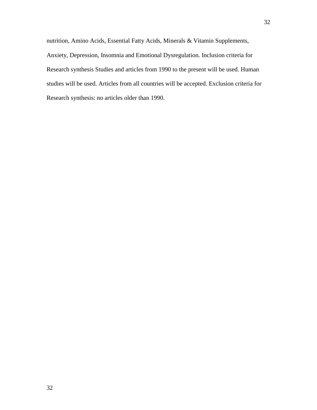nutrition, Amino Acids, Essential Fatty Acids, Minerals & Vitamin Supplements, Anxiety, Depression, Insomnia and Emotional Dysregulation. Inclusion criteria for Research synthesis Studies and articles from 1990 to the present will be used. Human studies will be used. Articles from all countries will be accepted. Exclusion criteria for Research synthesis: no articles older than 1990.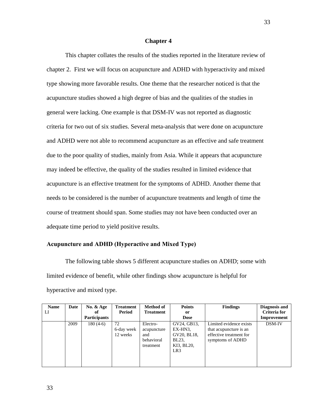#### **Chapter 4**

This chapter collates the results of the studies reported in the literature review of chapter 2. First we will focus on acupuncture and ADHD with hyperactivity and mixed type showing more favorable results. One theme that the researcher noticed is that the acupuncture studies showed a high degree of bias and the qualities of the studies in general were lacking. One example is that DSM-IV was not reported as diagnostic criteria for two out of six studies. Several meta-analysis that were done on acupuncture and ADHD were not able to recommend acupuncture as an effective and safe treatment due to the poor quality of studies, mainly from Asia. While it appears that acupuncture may indeed be effective, the quality of the studies resulted in limited evidence that acupuncture is an effective treatment for the symptoms of ADHD. Another theme that needs to be considered is the number of acupuncture treatments and length of time the course of treatment should span. Some studies may not have been conducted over an adequate time period to yield positive results.

# **Acupuncture and ADHD (Hyperactive and Mixed Type)**

The following table shows 5 different acupuncture studies on ADHD; some with limited evidence of benefit, while other findings show acupuncture is helpful for hyperactive and mixed type.

| <b>Name</b><br>LI | Date | No. $&$ Age<br>оf   | <b>Treatment</b><br>Period   | <b>Method of</b><br><b>Treatment</b>                      | <b>Points</b><br>or                                                             | <b>Findings</b>                                                                                  | Diagnosis and<br>Criteria for |
|-------------------|------|---------------------|------------------------------|-----------------------------------------------------------|---------------------------------------------------------------------------------|--------------------------------------------------------------------------------------------------|-------------------------------|
|                   |      | <b>Participants</b> |                              |                                                           | <b>Dose</b>                                                                     |                                                                                                  | Improvement                   |
|                   | 2009 | $180(4-6)$          | 72<br>6-day week<br>12 weeks | Electro-<br>acupuncture<br>and<br>behavioral<br>treatment | GV24, GB13,<br>EX-HN3.<br>GV20, BL18,<br>BL23.<br>KI3, BL20,<br>LR <sub>3</sub> | Limited evidence exists<br>that acupuncture is an<br>effective treatment for<br>symptoms of ADHD | DSM-IV                        |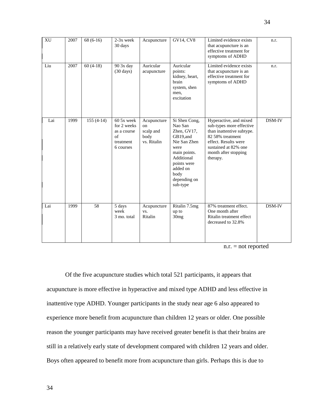| XU  | 2007 | $68(6-16)$      | 2-3x week<br>30 days                                                     | Acupuncture                                           | GV14, CV8                                                                                                                                                                | Limited evidence exists<br>that acupuncture is an<br>effective treatment for<br>symptoms of ADHD                                                                                        | n.r.   |
|-----|------|-----------------|--------------------------------------------------------------------------|-------------------------------------------------------|--------------------------------------------------------------------------------------------------------------------------------------------------------------------------|-----------------------------------------------------------------------------------------------------------------------------------------------------------------------------------------|--------|
| Liu | 2007 | $60(4-18)$      | 90 3x day<br>$(30 \text{ days})$                                         | Auricular<br>acupuncture                              | Auricular<br>points:<br>kidney, heart,<br>brain<br>system, shen<br>men,<br>excitation                                                                                    | Limited evidence exists<br>that acupuncture is an<br>effective treatment for<br>symptoms of ADHD                                                                                        | n.r.   |
| Lai | 1999 | $155(4-14)$     | 60 5x week<br>for 2 weeks<br>as a course<br>of<br>treatment<br>6 courses | Acupuncture<br>on<br>scalp and<br>body<br>vs. Ritalin | Si Shen Cong,<br>Nao San<br>Zhen, GV17,<br>GB19,and<br>Nie San Zhen<br>were<br>main points.<br>Additional<br>points were<br>added on<br>body<br>depending on<br>sub-type | Hyperactive, and mixed<br>sub-types more effective<br>than inattentive subtype.<br>82 58% treatment<br>effect. Results were<br>sustained at 82% one<br>month after stopping<br>therapy. | DSM-IV |
| Lai | 1999 | $\overline{58}$ | 5 days<br>week<br>3 mo. total                                            | Acupuncture<br>VS.<br>Ritalin                         | Ritalin 7.5mg<br>up to<br>30 <sub>mg</sub>                                                                                                                               | 87% treatment effect.<br>One month after<br>Ritalin treatment effect<br>decreased to 32.8%                                                                                              | DSM-IV |

n.r. = not reported

Of the five acupuncture studies which total 521 participants, it appears that acupuncture is more effective in hyperactive and mixed type ADHD and less effective in inattentive type ADHD. Younger participants in the study near age 6 also appeared to experience more benefit from acupuncture than children 12 years or older. One possible reason the younger participants may have received greater benefit is that their brains are still in a relatively early state of development compared with children 12 years and older. Boys often appeared to benefit more from acupuncture than girls. Perhaps this is due to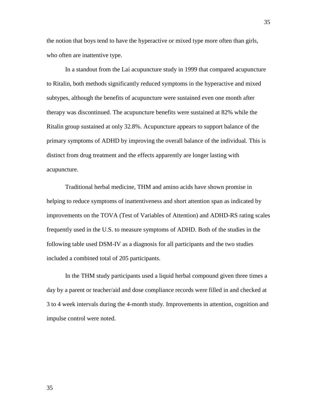the notion that boys tend to have the hyperactive or mixed type more often than girls, who often are inattentive type.

In a standout from the Lai acupuncture study in 1999 that compared acupuncture to Ritalin, both methods significantly reduced symptoms in the hyperactive and mixed subtypes, although the benefits of acupuncture were sustained even one month after therapy was discontinued. The acupuncture benefits were sustained at 82% while the Ritalin group sustained at only 32.8%. Acupuncture appears to support balance of the primary symptoms of ADHD by improving the overall balance of the individual. This is distinct from drug treatment and the effects apparently are longer lasting with acupuncture.

Traditional herbal medicine, THM and amino acids have shown promise in helping to reduce symptoms of inattentiveness and short attention span as indicated by improvements on the TOVA (Test of Variables of Attention) and ADHD-RS rating scales frequently used in the U.S. to measure symptoms of ADHD. Both of the studies in the following table used DSM-IV as a diagnosis for all participants and the two studies included a combined total of 205 participants.

In the THM study participants used a liquid herbal compound given three times a day by a parent or teacher/aid and dose compliance records were filled in and checked at 3 to 4 week intervals during the 4-month study. Improvements in attention, cognition and impulse control were noted.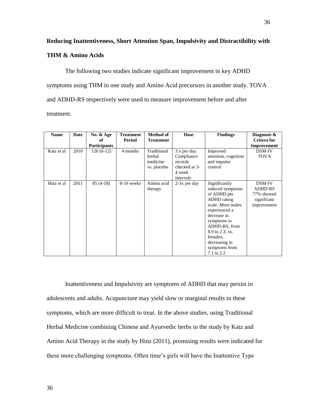# **THM & Amino Acids**

The following two studies indicate significant improvement in key ADHD symptoms using THM in one study and Amino Acid precursors in another study. TOVA and ADHD-RS respectively were used to measure improvement before and after treatment.

| <b>Name</b> | Date | No. & Age           | <b>Treatment</b> | <b>Method of</b>                                 | <b>Dose</b>                                                                   | <b>Findings</b>                                                                                                                                                                                                                     | Diagnosis &                                                          |
|-------------|------|---------------------|------------------|--------------------------------------------------|-------------------------------------------------------------------------------|-------------------------------------------------------------------------------------------------------------------------------------------------------------------------------------------------------------------------------------|----------------------------------------------------------------------|
|             |      | of                  | Period           | <b>Treatment</b>                                 |                                                                               |                                                                                                                                                                                                                                     | <b>Critera for</b>                                                   |
|             |      | <b>Participants</b> |                  |                                                  |                                                                               |                                                                                                                                                                                                                                     | Improvement                                                          |
| Katz et al  | 2010 | $120(6-12)$         | 4 months         | Traditional<br>herbal<br>medicine<br>vs. placebo | 3 x per day.<br>Compliance<br>records<br>checked at 3-<br>4 week<br>intervals | Improved<br>attention, cognition<br>and impulse<br>control                                                                                                                                                                          | DSM-IV<br><b>TOVA</b>                                                |
| Hinz et al  | 2011 | $85(4-18)$          | 8-10 weeks       | Amino acid<br>therapy                            | $2-3x$ per day                                                                | Significantly<br>reduced symptoms<br>of ADHD per<br>ADHD rating<br>scale. More males<br>experienced a<br>decrease in<br>symptoms in<br>ADHD-RS, from<br>8.9 to 2.3; vs.<br>females.<br>decreasing in<br>symptoms from<br>7.1 to 2.2 | DSM-IV<br><b>ADHD-RS</b><br>77% showed<br>significant<br>improvement |

Inattentiveness and Impulsivity are symptoms of ADHD that may persist in adolescents and adults. Acupuncture may yield slow or marginal results in these symptoms, which are more difficult to treat. In the above studies, using Traditional Herbal Medicine combining Chinese and Ayurvedic herbs in the study by Katz and Amino Acid Therapy in the study by Hinz (2011), promising results were indicated for these more challenging symptoms. Often time's girls will have the Inattentive Type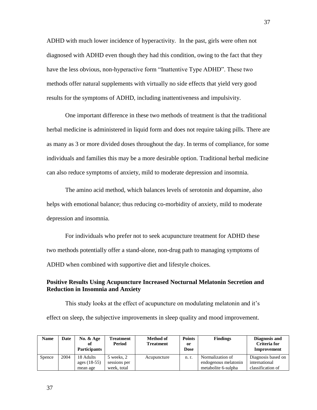ADHD with much lower incidence of hyperactivity. In the past, girls were often not diagnosed with ADHD even though they had this condition, owing to the fact that they have the less obvious, non-hyperactive form "Inattentive Type ADHD". These two methods offer natural supplements with virtually no side effects that yield very good results for the symptoms of ADHD, including inattentiveness and impulsivity.

One important difference in these two methods of treatment is that the traditional herbal medicine is administered in liquid form and does not require taking pills. There are as many as 3 or more divided doses throughout the day. In terms of compliance, for some individuals and families this may be a more desirable option. Traditional herbal medicine can also reduce symptoms of anxiety, mild to moderate depression and insomnia.

The amino acid method, which balances levels of serotonin and dopamine, also helps with emotional balance; thus reducing co-morbidity of anxiety, mild to moderate depression and insomnia.

For individuals who prefer not to seek acupuncture treatment for ADHD these two methods potentially offer a stand-alone, non-drug path to managing symptoms of ADHD when combined with supportive diet and lifestyle choices.

# **Positive Results Using Acupuncture Increased Nocturnal Melatonin Secretion and Reduction in Insomnia and Anxiety**

This study looks at the effect of acupuncture on modulating melatonin and it's effect on sleep, the subjective improvements in sleep quality and mood improvement.

| <b>Name</b> | <b>Date</b> | No. $&$ Age<br>оf<br><b>Participants</b> | Treatment<br>Period                       | <b>Method of</b><br><b>Treatment</b> | <b>Points</b><br>or<br><b>Dose</b> | <b>Findings</b>                                                 | Diagnosis and<br>Criteria for<br>Improvement             |
|-------------|-------------|------------------------------------------|-------------------------------------------|--------------------------------------|------------------------------------|-----------------------------------------------------------------|----------------------------------------------------------|
| Spence      | 2004        | 18 Adults<br>ages (18-55)<br>mean age    | 5 weeks, 2<br>sessions per<br>week, total | Acupuncture                          | n. r.                              | Normalization of<br>endogenous melatonin<br>metabolite 6-sulpha | Diagnosis based on<br>international<br>classification of |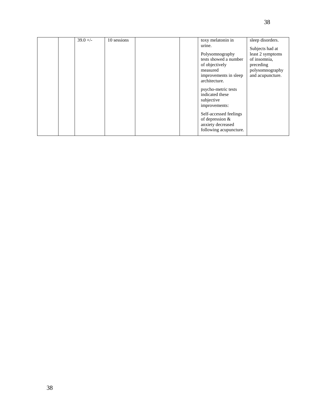|  | $39.0 +/-$ | 10 sessions |  | toxy melatonin in                      | sleep disorders. |
|--|------------|-------------|--|----------------------------------------|------------------|
|  |            |             |  | urine.                                 | Subjects had at  |
|  |            |             |  | Polysomnography                        | least 2 symptoms |
|  |            |             |  | tests showed a number                  | of insomnia,     |
|  |            |             |  | of objectively                         | preceding        |
|  |            |             |  | measured                               | polysomnography  |
|  |            |             |  | improvements in sleep                  | and acupuncture. |
|  |            |             |  | architecture.                          |                  |
|  |            |             |  | psycho-metric tests                    |                  |
|  |            |             |  | indicated these                        |                  |
|  |            |             |  | subjective                             |                  |
|  |            |             |  | improvements:                          |                  |
|  |            |             |  | Self-accessed feelings                 |                  |
|  |            |             |  |                                        |                  |
|  |            |             |  |                                        |                  |
|  |            |             |  | following acupuncture.                 |                  |
|  |            |             |  | of depression $&$<br>anxiety decreased |                  |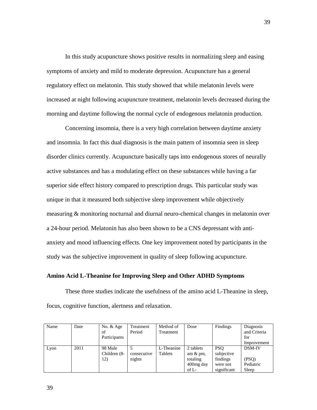In this study acupuncture shows positive results in normalizing sleep and easing symptoms of anxiety and mild to moderate depression. Acupuncture has a general regulatory effect on melatonin. This study showed that while melatonin levels were increased at night following acupuncture treatment, melatonin levels decreased during the morning and daytime following the normal cycle of endogenous melatonin production.

Concerning insomnia, there is a very high correlation between daytime anxiety and insomnia. In fact this dual diagnosis is the main pattern of insomnia seen in sleep disorder clinics currently. Acupuncture basically taps into endogenous stores of neurally active substances and has a modulating effect on these substances while having a far superior side effect history compared to prescription drugs. This particular study was unique in that it measured both subjective sleep improvement while objectively measuring & monitoring nocturnal and diurnal neuro-chemical changes in melatonin over a 24-hour period. Melatonin has also been shown to be a CNS depressant with antianxiety and mood influencing effects. One key improvement noted by participants in the study was the subjective improvement in quality of sleep following acupuncture.

# **Amino Acid L-Theanine for Improving Sleep and Other ADHD Symptoms**

These three studies indicate the usefulness of the amino acid L-Theanine in sleep, focus, cognitive function, alertness and relaxation.

| Name | Date | No. & Age<br>of<br>Participants | Treatment<br>Period   | Method of<br>Treatment | Dose                                                                    | Findings                                                        | Diagnosis<br>and Criteria<br>for<br>Improvement |
|------|------|---------------------------------|-----------------------|------------------------|-------------------------------------------------------------------------|-----------------------------------------------------------------|-------------------------------------------------|
| Lyon | 2011 | 98 Male<br>Children (8-<br>12)  | consecutive<br>nights | L-Theanine<br>Tablets  | 2 tablets<br>am $&\,\mathrm{pm}$ ,<br>totaling<br>400mg day<br>of $L$ - | <b>PSO</b><br>subjective<br>findings<br>were not<br>significant | <b>DSM-IV</b><br>(PSQ)<br>Pediatric<br>Sleep    |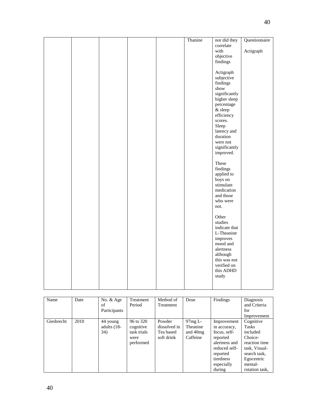|  |  | Thanine | nor did they             | Questionnaire |
|--|--|---------|--------------------------|---------------|
|  |  |         | correlate                |               |
|  |  |         | with                     | Actigraph     |
|  |  |         | objective                |               |
|  |  |         | findings                 |               |
|  |  |         | Actigraph                |               |
|  |  |         | subjective               |               |
|  |  |         | findings                 |               |
|  |  |         | $\operatorname{show}$    |               |
|  |  |         | significantly            |               |
|  |  |         | higher sleep             |               |
|  |  |         | percentage               |               |
|  |  |         | $\&$ sleep               |               |
|  |  |         | efficiency               |               |
|  |  |         | scores.                  |               |
|  |  |         | Sleep                    |               |
|  |  |         | latency and              |               |
|  |  |         | duration<br>were not     |               |
|  |  |         | significantly            |               |
|  |  |         | improved.                |               |
|  |  |         |                          |               |
|  |  |         | These                    |               |
|  |  |         | findings                 |               |
|  |  |         | applied to               |               |
|  |  |         | boys on                  |               |
|  |  |         | stimulant                |               |
|  |  |         | medication               |               |
|  |  |         | and those<br>who were    |               |
|  |  |         | not.                     |               |
|  |  |         |                          |               |
|  |  |         | Other                    |               |
|  |  |         | studies                  |               |
|  |  |         | indicate that            |               |
|  |  |         | L-Theanine               |               |
|  |  |         | improves                 |               |
|  |  |         | mood and                 |               |
|  |  |         | alertness                |               |
|  |  |         | although<br>this was not |               |
|  |  |         | verified on              |               |
|  |  |         | this ADHD                |               |
|  |  |         | study                    |               |
|  |  |         |                          |               |
|  |  |         |                          |               |

| Name       | Date | No. & Age<br>of<br>Participants  | Treatment<br>Period                                        | Method of<br>Treatment                            | Dose                                      | Findings                                                                                                                                   | Diagnosis<br>and Criteria<br>for<br>Improvement                                                                                        |
|------------|------|----------------------------------|------------------------------------------------------------|---------------------------------------------------|-------------------------------------------|--------------------------------------------------------------------------------------------------------------------------------------------|----------------------------------------------------------------------------------------------------------------------------------------|
| Giesbrecht | 2010 | 44 young<br>adults $(18-$<br>34) | 96 to 320<br>cognitive<br>task trials<br>were<br>performed | Powder<br>dissolved in<br>Tea based<br>soft drink | 97mgL<br>Theanine<br>and 40mg<br>Caffeine | Improvement<br>in accuracy,<br>focus, self-<br>reported<br>alertness and<br>reduced self-<br>reported<br>tiredness<br>especially<br>during | Cognitive<br>Tasks<br>included<br>Choice-<br>reaction time<br>task, Visual-<br>search task,<br>Egocentric<br>mental-<br>rotation task. |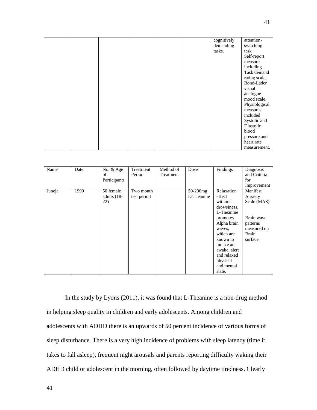|  |  |  | cognitively<br>demanding<br>tasks. | attention-<br>switching<br>task<br>Self-report<br>measure<br>including<br>Task demand<br>rating scale,<br>Bond-Lader<br>visual<br>analogue<br>mood scale.<br>Physiological<br>measures<br>included<br>Systolic and<br>Diastolic<br>blood<br>pressure and |
|--|--|--|------------------------------------|----------------------------------------------------------------------------------------------------------------------------------------------------------------------------------------------------------------------------------------------------------|
|  |  |  |                                    | heart rate                                                                                                                                                                                                                                               |
|  |  |  |                                    | measurement.                                                                                                                                                                                                                                             |

| Name   | Date | No. & Age<br>of<br>Participants   | Treatment<br>Period      | Method of<br>Treatment | Dose                      | Findings                                                                                                                                                                                                   | Diagnosis<br>and Criteria<br>for<br>Improvement                                                         |
|--------|------|-----------------------------------|--------------------------|------------------------|---------------------------|------------------------------------------------------------------------------------------------------------------------------------------------------------------------------------------------------------|---------------------------------------------------------------------------------------------------------|
| Juneja | 1999 | 50 female<br>adults $(18-$<br>22) | Two month<br>test period |                        | $50-200$ mg<br>L-Theanine | Relaxation<br>effect<br>without<br>drowsiness.<br>L-Theanine<br>promotes<br>Alpha brain<br>waves,<br>which are<br>known to<br>induce an<br>awake, alert<br>and relaxed<br>physical<br>and mental<br>state. | Manifest<br>Anxiety<br>Scale (MAS)<br>Brain wave<br>patterns<br>measured on<br><b>Brain</b><br>surface. |

In the study by Lyons (2011), it was found that L-Theanine is a non-drug method in helping sleep quality in children and early adolescents. Among children and adolescents with ADHD there is an upwards of 50 percent incidence of various forms of sleep disturbance. There is a very high incidence of problems with sleep latency (time it takes to fall asleep), frequent night arousals and parents reporting difficulty waking their ADHD child or adolescent in the morning, often followed by daytime tiredness. Clearly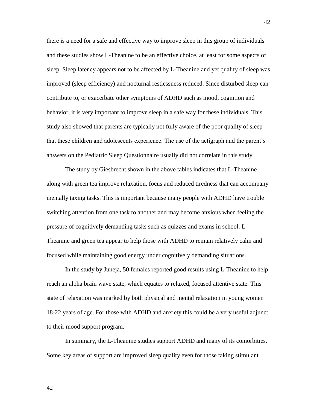there is a need for a safe and effective way to improve sleep in this group of individuals and these studies show L-Theanine to be an effective choice, at least for some aspects of sleep. Sleep latency appears not to be affected by L-Theanine and yet quality of sleep was improved (sleep efficiency) and nocturnal restlessness reduced. Since disturbed sleep can contribute to, or exacerbate other symptoms of ADHD such as mood, cognition and behavior, it is very important to improve sleep in a safe way for these individuals. This study also showed that parents are typically not fully aware of the poor quality of sleep that these children and adolescents experience. The use of the actigraph and the parent's answers on the Pediatric Sleep Questionnaire usually did not correlate in this study.

The study by Giesbrecht shown in the above tables indicates that L-Theanine along with green tea improve relaxation, focus and reduced tiredness that can accompany mentally taxing tasks. This is important because many people with ADHD have trouble switching attention from one task to another and may become anxious when feeling the pressure of cognitively demanding tasks such as quizzes and exams in school. L-Theanine and green tea appear to help those with ADHD to remain relatively calm and focused while maintaining good energy under cognitively demanding situations.

In the study by Juneja, 50 females reported good results using L-Theanine to help reach an alpha brain wave state, which equates to relaxed, focused attentive state. This state of relaxation was marked by both physical and mental relaxation in young women 18-22 years of age. For those with ADHD and anxiety this could be a very useful adjunct to their mood support program.

In summary, the L-Theanine studies support ADHD and many of its comorbities. Some key areas of support are improved sleep quality even for those taking stimulant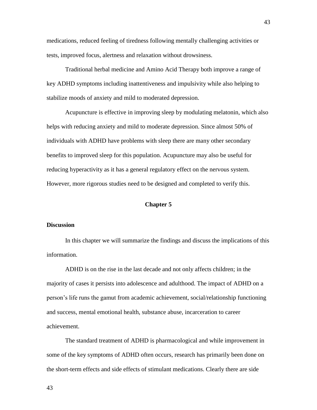medications, reduced feeling of tiredness following mentally challenging activities or tests, improved focus, alertness and relaxation without drowsiness.

Traditional herbal medicine and Amino Acid Therapy both improve a range of key ADHD symptoms including inattentiveness and impulsivity while also helping to stabilize moods of anxiety and mild to moderated depression.

Acupuncture is effective in improving sleep by modulating melatonin, which also helps with reducing anxiety and mild to moderate depression. Since almost 50% of individuals with ADHD have problems with sleep there are many other secondary benefits to improved sleep for this population. Acupuncture may also be useful for reducing hyperactivity as it has a general regulatory effect on the nervous system. However, more rigorous studies need to be designed and completed to verify this.

#### **Chapter 5**

# **Discussion**

In this chapter we will summarize the findings and discuss the implications of this information.

ADHD is on the rise in the last decade and not only affects children; in the majority of cases it persists into adolescence and adulthood. The impact of ADHD on a person's life runs the gamut from academic achievement, social/relationship functioning and success, mental emotional health, substance abuse, incarceration to career achievement.

The standard treatment of ADHD is pharmacological and while improvement in some of the key symptoms of ADHD often occurs, research has primarily been done on the short-term effects and side effects of stimulant medications. Clearly there are side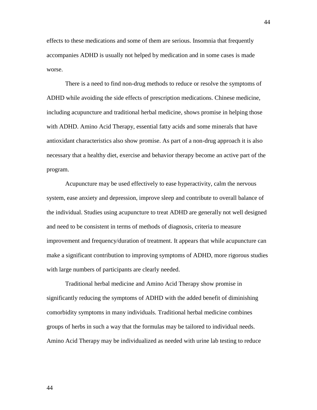effects to these medications and some of them are serious. Insomnia that frequently accompanies ADHD is usually not helped by medication and in some cases is made worse.

There is a need to find non-drug methods to reduce or resolve the symptoms of ADHD while avoiding the side effects of prescription medications. Chinese medicine, including acupuncture and traditional herbal medicine, shows promise in helping those with ADHD. Amino Acid Therapy, essential fatty acids and some minerals that have antioxidant characteristics also show promise. As part of a non-drug approach it is also necessary that a healthy diet, exercise and behavior therapy become an active part of the program.

Acupuncture may be used effectively to ease hyperactivity, calm the nervous system, ease anxiety and depression, improve sleep and contribute to overall balance of the individual. Studies using acupuncture to treat ADHD are generally not well designed and need to be consistent in terms of methods of diagnosis, criteria to measure improvement and frequency/duration of treatment. It appears that while acupuncture can make a significant contribution to improving symptoms of ADHD, more rigorous studies with large numbers of participants are clearly needed.

Traditional herbal medicine and Amino Acid Therapy show promise in significantly reducing the symptoms of ADHD with the added benefit of diminishing comorbidity symptoms in many individuals. Traditional herbal medicine combines groups of herbs in such a way that the formulas may be tailored to individual needs. Amino Acid Therapy may be individualized as needed with urine lab testing to reduce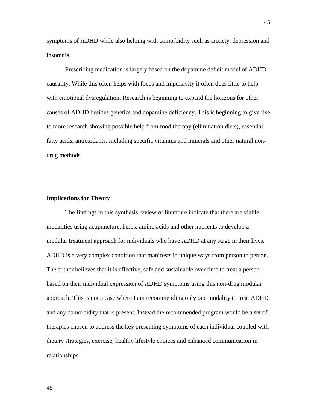symptoms of ADHD while also helping with comorbidity such as anxiety, depression and insomnia.

Prescribing medication is largely based on the dopamine deficit model of ADHD causality. While this often helps with focus and impulsivity it often does little to help with emotional dysregulation. Research is beginning to expand the horizons for other causes of ADHD besides genetics and dopamine deficiency. This is beginning to give rise to more research showing possible help from food therapy (elimination diets), essential fatty acids, antioxidants, including specific vitamins and minerals and other natural nondrug methods.

## **Implications for Theory**

The findings in this synthesis review of literature indicate that there are viable modalities using acupuncture, herbs, amino acids and other nutrients to develop a modular treatment approach for individuals who have ADHD at any stage in their lives. ADHD is a very complex condition that manifests in unique ways from person to person. The author believes that it is effective, safe and sustainable over time to treat a person based on their individual expression of ADHD symptoms using this non-drug modular approach. This is not a case where I am recommending only one modality to treat ADHD and any comorbidity that is present. Instead the recommended program would be a set of therapies chosen to address the key presenting symptoms of each individual coupled with dietary strategies, exercise, healthy lifestyle choices and enhanced communication in relationships.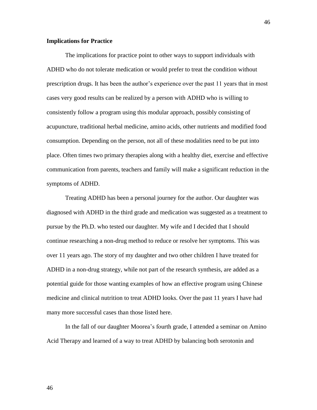# **Implications for Practice**

The implications for practice point to other ways to support individuals with ADHD who do not tolerate medication or would prefer to treat the condition without prescription drugs. It has been the author's experience over the past 11 years that in most cases very good results can be realized by a person with ADHD who is willing to consistently follow a program using this modular approach, possibly consisting of acupuncture, traditional herbal medicine, amino acids, other nutrients and modified food consumption. Depending on the person, not all of these modalities need to be put into place. Often times two primary therapies along with a healthy diet, exercise and effective communication from parents, teachers and family will make a significant reduction in the symptoms of ADHD.

Treating ADHD has been a personal journey for the author. Our daughter was diagnosed with ADHD in the third grade and medication was suggested as a treatment to pursue by the Ph.D. who tested our daughter. My wife and I decided that I should continue researching a non-drug method to reduce or resolve her symptoms. This was over 11 years ago. The story of my daughter and two other children I have treated for ADHD in a non-drug strategy, while not part of the research synthesis, are added as a potential guide for those wanting examples of how an effective program using Chinese medicine and clinical nutrition to treat ADHD looks. Over the past 11 years I have had many more successful cases than those listed here.

In the fall of our daughter Moorea's fourth grade, I attended a seminar on Amino Acid Therapy and learned of a way to treat ADHD by balancing both serotonin and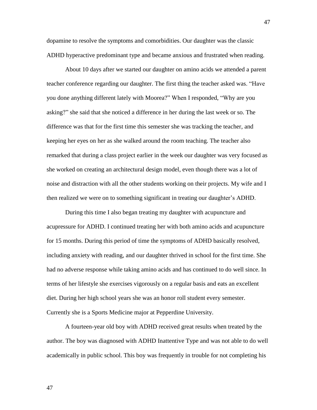dopamine to resolve the symptoms and comorbidities. Our daughter was the classic ADHD hyperactive predominant type and became anxious and frustrated when reading.

About 10 days after we started our daughter on amino acids we attended a parent teacher conference regarding our daughter. The first thing the teacher asked was. "Have you done anything different lately with Moorea?" When I responded, "Why are you asking?" she said that she noticed a difference in her during the last week or so. The difference was that for the first time this semester she was tracking the teacher, and keeping her eyes on her as she walked around the room teaching. The teacher also remarked that during a class project earlier in the week our daughter was very focused as she worked on creating an architectural design model, even though there was a lot of noise and distraction with all the other students working on their projects. My wife and I then realized we were on to something significant in treating our daughter's ADHD.

During this time I also began treating my daughter with acupuncture and acupressure for ADHD. I continued treating her with both amino acids and acupuncture for 15 months. During this period of time the symptoms of ADHD basically resolved, including anxiety with reading, and our daughter thrived in school for the first time. She had no adverse response while taking amino acids and has continued to do well since. In terms of her lifestyle she exercises vigorously on a regular basis and eats an excellent diet. During her high school years she was an honor roll student every semester. Currently she is a Sports Medicine major at Pepperdine University.

A fourteen-year old boy with ADHD received great results when treated by the author. The boy was diagnosed with ADHD Inattentive Type and was not able to do well academically in public school. This boy was frequently in trouble for not completing his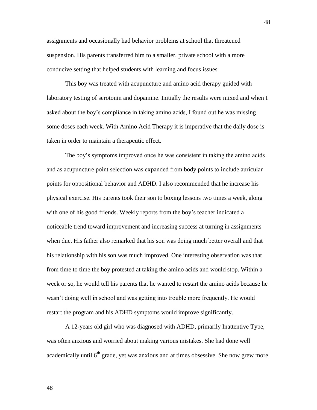assignments and occasionally had behavior problems at school that threatened suspension. His parents transferred him to a smaller, private school with a more conducive setting that helped students with learning and focus issues.

This boy was treated with acupuncture and amino acid therapy guided with laboratory testing of serotonin and dopamine. Initially the results were mixed and when I asked about the boy's compliance in taking amino acids, I found out he was missing some doses each week. With Amino Acid Therapy it is imperative that the daily dose is taken in order to maintain a therapeutic effect.

The boy's symptoms improved once he was consistent in taking the amino acids and as acupuncture point selection was expanded from body points to include auricular points for oppositional behavior and ADHD. I also recommended that he increase his physical exercise. His parents took their son to boxing lessons two times a week, along with one of his good friends. Weekly reports from the boy's teacher indicated a noticeable trend toward improvement and increasing success at turning in assignments when due. His father also remarked that his son was doing much better overall and that his relationship with his son was much improved. One interesting observation was that from time to time the boy protested at taking the amino acids and would stop. Within a week or so, he would tell his parents that he wanted to restart the amino acids because he wasn't doing well in school and was getting into trouble more frequently. He would restart the program and his ADHD symptoms would improve significantly.

A 12-years old girl who was diagnosed with ADHD, primarily Inattentive Type, was often anxious and worried about making various mistakes. She had done well academically until  $6<sup>th</sup>$  grade, yet was anxious and at times obsessive. She now grew more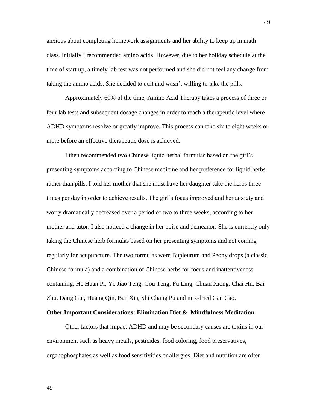anxious about completing homework assignments and her ability to keep up in math class. Initially I recommended amino acids. However, due to her holiday schedule at the time of start up, a timely lab test was not performed and she did not feel any change from taking the amino acids. She decided to quit and wasn't willing to take the pills.

Approximately 60% of the time, Amino Acid Therapy takes a process of three or four lab tests and subsequent dosage changes in order to reach a therapeutic level where ADHD symptoms resolve or greatly improve. This process can take six to eight weeks or more before an effective therapeutic dose is achieved.

I then recommended two Chinese liquid herbal formulas based on the girl's presenting symptoms according to Chinese medicine and her preference for liquid herbs rather than pills. I told her mother that she must have her daughter take the herbs three times per day in order to achieve results. The girl's focus improved and her anxiety and worry dramatically decreased over a period of two to three weeks, according to her mother and tutor. I also noticed a change in her poise and demeanor. She is currently only taking the Chinese herb formulas based on her presenting symptoms and not coming regularly for acupuncture. The two formulas were Bupleurum and Peony drops (a classic Chinese formula) and a combination of Chinese herbs for focus and inattentiveness containing; He Huan Pi, Ye Jiao Teng, Gou Teng, Fu Ling, Chuan Xiong, Chai Hu, Bai Zhu, Dang Gui, Huang Qin, Ban Xia, Shi Chang Pu and mix-fried Gan Cao.

#### **Other Important Considerations: Elimination Diet & Mindfulness Meditation**

Other factors that impact ADHD and may be secondary causes are toxins in our environment such as heavy metals, pesticides, food coloring, food preservatives, organophosphates as well as food sensitivities or allergies. Diet and nutrition are often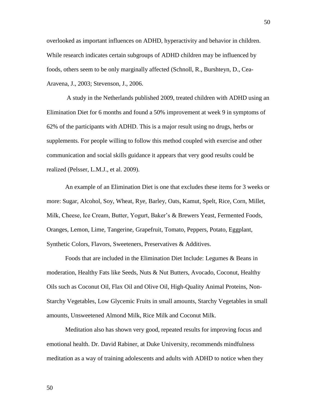overlooked as important influences on ADHD, hyperactivity and behavior in children. While research indicates certain subgroups of ADHD children may be influenced by foods, others seem to be only marginally affected (Schnoll, R., Burshteyn, D., Cea-Aravena, J., 2003; Stevenson, J., 2006.

A study in the Netherlands published 2009, treated children with ADHD using an Elimination Diet for 6 months and found a 50% improvement at week 9 in symptoms of 62% of the participants with ADHD. This is a major result using no drugs, herbs or supplements. For people willing to follow this method coupled with exercise and other communication and social skills guidance it appears that very good results could be realized (Pelsser, L.M.J., et al. 2009).

An example of an Elimination Diet is one that excludes these items for 3 weeks or more: Sugar, Alcohol, Soy, Wheat, Rye, Barley, Oats, Kamut, Spelt, Rice, Corn, Millet, Milk, Cheese, Ice Cream, Butter, Yogurt, Baker's & Brewers Yeast, Fermented Foods, Oranges, Lemon, Lime, Tangerine, Grapefruit, Tomato, Peppers, Potato, Eggplant, Synthetic Colors, Flavors, Sweeteners, Preservatives & Additives.

Foods that are included in the Elimination Diet Include: Legumes & Beans in moderation, Healthy Fats like Seeds, Nuts & Nut Butters, Avocado, Coconut, Healthy Oils such as Coconut Oil, Flax Oil and Olive Oil, High-Quality Animal Proteins, Non-Starchy Vegetables, Low Glycemic Fruits in small amounts, Starchy Vegetables in small amounts, Unsweetened Almond Milk, Rice Milk and Coconut Milk.

Meditation also has shown very good, repeated results for improving focus and emotional health. Dr. David Rabiner, at Duke University, recommends mindfulness meditation as a way of training adolescents and adults with ADHD to notice when they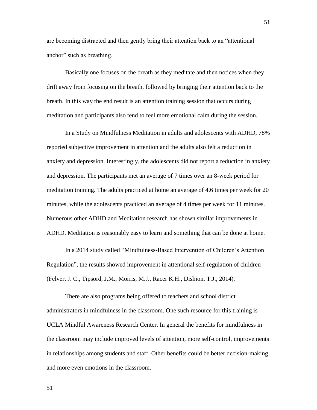are becoming distracted and then gently bring their attention back to an "attentional anchor" such as breathing.

Basically one focuses on the breath as they meditate and then notices when they drift away from focusing on the breath, followed by bringing their attention back to the breath. In this way the end result is an attention training session that occurs during meditation and participants also tend to feel more emotional calm during the session.

In a Study on Mindfulness Meditation in adults and adolescents with ADHD, 78% reported subjective improvement in attention and the adults also felt a reduction in anxiety and depression. Interestingly, the adolescents did not report a reduction in anxiety and depression. The participants met an average of 7 times over an 8-week period for meditation training. The adults practiced at home an average of 4.6 times per week for 20 minutes, while the adolescents practiced an average of 4 times per week for 11 minutes. Numerous other ADHD and Meditation research has shown similar improvements in ADHD. Meditation is reasonably easy to learn and something that can be done at home.

In a 2014 study called "Mindfulness-Based Intervention of Children's Attention Regulation", the results showed improvement in attentional self-regulation of children (Felver, J. C., Tipsord, J.M., Morris, M.J., Racer K.H., Dishion, T.J., 2014).

There are also programs being offered to teachers and school district administrators in mindfulness in the classroom. One such resource for this training is UCLA Mindful Awareness Research Center. In general the benefits for mindfulness in the classroom may include improved levels of attention, more self-control, improvements in relationships among students and staff. Other benefits could be better decision-making and more even emotions in the classroom.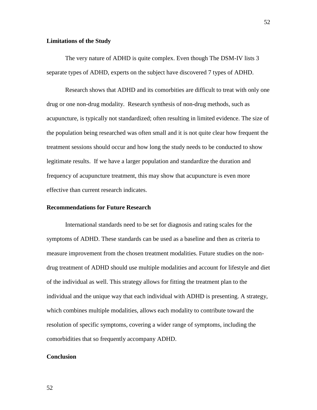## **Limitations of the Study**

The very nature of ADHD is quite complex. Even though The DSM-IV lists 3 separate types of ADHD, experts on the subject have discovered 7 types of ADHD.

Research shows that ADHD and its comorbities are difficult to treat with only one drug or one non-drug modality. Research synthesis of non-drug methods, such as acupuncture, is typically not standardized; often resulting in limited evidence. The size of the population being researched was often small and it is not quite clear how frequent the treatment sessions should occur and how long the study needs to be conducted to show legitimate results. If we have a larger population and standardize the duration and frequency of acupuncture treatment, this may show that acupuncture is even more effective than current research indicates.

#### **Recommendations for Future Research**

International standards need to be set for diagnosis and rating scales for the symptoms of ADHD. These standards can be used as a baseline and then as criteria to measure improvement from the chosen treatment modalities. Future studies on the nondrug treatment of ADHD should use multiple modalities and account for lifestyle and diet of the individual as well. This strategy allows for fitting the treatment plan to the individual and the unique way that each individual with ADHD is presenting. A strategy, which combines multiple modalities, allows each modality to contribute toward the resolution of specific symptoms, covering a wider range of symptoms, including the comorbidities that so frequently accompany ADHD.

#### **Conclusion**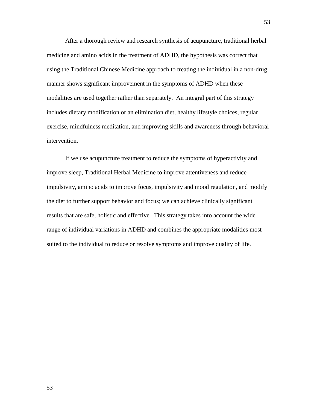After a thorough review and research synthesis of acupuncture, traditional herbal medicine and amino acids in the treatment of ADHD, the hypothesis was correct that using the Traditional Chinese Medicine approach to treating the individual in a non-drug manner shows significant improvement in the symptoms of ADHD when these modalities are used together rather than separately. An integral part of this strategy includes dietary modification or an elimination diet, healthy lifestyle choices, regular exercise, mindfulness meditation, and improving skills and awareness through behavioral intervention.

If we use acupuncture treatment to reduce the symptoms of hyperactivity and improve sleep, Traditional Herbal Medicine to improve attentiveness and reduce impulsivity, amino acids to improve focus, impulsivity and mood regulation, and modify the diet to further support behavior and focus; we can achieve clinically significant results that are safe, holistic and effective. This strategy takes into account the wide range of individual variations in ADHD and combines the appropriate modalities most suited to the individual to reduce or resolve symptoms and improve quality of life.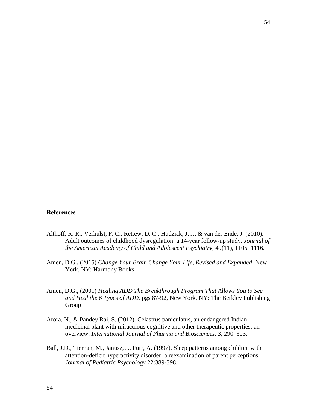#### **References**

- Althoff, R. R., Verhulst, F. C., Rettew, D. C., Hudziak, J. J., & van der Ende, J. (2010). Adult outcomes of childhood dysregulation: a 14-year follow-up study. *Journal of the American Academy of Child and Adolescent Psychiatry*, 49(11), 1105–1116.
- Amen, D.G., (2015) *Change Your Brain Change Your Life, Revised and Expanded*. New York, NY: Harmony Books
- Amen, D.G., (2001) *Healing ADD The Breakthrough Program That Allows You to See and Heal the 6 Types of ADD.* pgs 87-92, New York, NY: The Berkley Publishing Group
- Arora, N., & Pandey Rai, S. (2012). Celastrus paniculatus, an endangered Indian medicinal plant with miraculous cognitive and other therapeutic properties: an overview. *International Journal of Pharma and Biosciences*, 3, 290–303.
- Ball, J.D., Tiernan, M., Janusz, J., Furr, A. (1997), Sleep patterns among children with attention-deficit hyperactivity disorder: a reexamination of parent perceptions. *Journal of Pediatric Psychology* 22:389-398.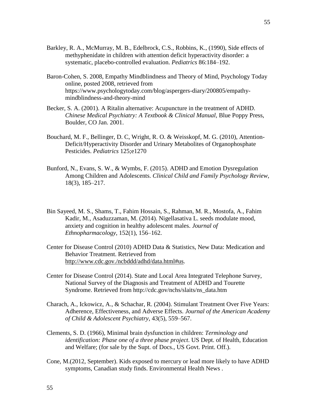- Barkley, R. A., McMurray, M. B., Edelbrock, C.S., Robbins, K., (1990), Side effects of methyphenidate in children with attention deficit hyperactivity disorder: a systematic, placebo-controlled evaluation. *Pediatrics* 86:184–192.
- Baron-Cohen, S. 2008, Empathy Mindblindness and Theory of Mind, Psychology Today online, posted 2008, retrieved from https://www.psychologytoday.com/blog/aspergers-diary/200805/empathymindblindness-and-theory-mind
- Becker, S. A. (2001). A Ritalin alternative: Acupuncture in the treatment of ADHD. *Chinese Medical Psychiatry: A Textbook & Clinical Manual,* Blue Poppy Press, Boulder, CO Jan. 2001.
- Bouchard, M. F., Bellinger, D. C, Wright, R. O. & Weisskopf, M. G. (2010), Attention-Deficit/Hyperactivity Disorder and Urinary Metabolites of Organophosphate Pesticides. *Pediatrics* 125;e1270
- Bunford, N., Evans, S. W., & Wymbs, F. (2015). ADHD and Emotion Dysregulation Among Children and Adolescents. *Clinical Child and Family Psychology Review*, 18(3), 185–217.
- Bin Sayeed, M. S., Shams, T., Fahim Hossain, S., Rahman, M. R., Mostofa, A., Fahim Kadir, M., Asaduzzaman, M. (2014). Nigellasativa L. seeds modulate mood, anxiety and cognition in healthy adolescent males. *Journal of Ethnopharmacology*, 152(1), 156–162.
- Center for Disease Control (2010) ADHD Data & Statistics, New Data: Medication and Behavior Treatment. Retrieved from [http://www.cdc.gov./ncbddd/adhd/data.html#us.](http://www.cdc.gov./ncbddd/adhd/data.html#us)
- Center for Disease Control (2014). State and Local Area Integrated Telephone Survey, National Survey of the Diagnosis and Treatment of ADHD and Tourette Syndrome. Retrieved from http://cdc.gov/nchs/slaits/ns\_data.htm
- Charach, A., Ickowicz, A., & Schachar, R. (2004). Stimulant Treatment Over Five Years: Adherence, Effectiveness, and Adverse Effects. *Journal of the American Academy of Child & Adolescent Psychiatry*, 43(5), 559–567.
- Clements, S. D. (1966), Minimal brain dysfunction in children: *Terminology and identification: Phase one of a three phase project*. US Dept. of Health, Education and Welfare; (for sale by the Supt. of Docs., US Govt. Print. Off.).
- Cone, M.(2012, September). Kids exposed to mercury or lead more likely to have ADHD symptoms, Canadian study finds. Environmental Health News .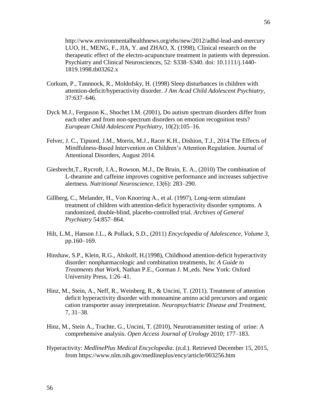http://www.environmentalhealthnews.org/ehs/new/2012/adhd-lead-and-mercury LUO, H., MENG, F., JIA, Y. and ZHAO, X. (1998), Clinical research on the therapeutic effect of the electro-acupuncture treatment in patients with depression. Psychiatry and Clinical Neurosciences, 52: S338–S340. doi: 10.1111/j.1440- 1819.1998.tb03262.x

- Corkum, P., Tannnock, R., Moldofsky, H. (1998) Sleep disturbances in children with attention-deficit/hyperactivity disorder. *J Am Acad Child Adolescent Psychiatry,*  37:637–646.
- Dyck M.J., Ferguson K., Shochet I.M. (2001), Do autism spectrum disorders differ from each other and from non-spectrum disorders on emotion recognition tests? *European Child Adolescent Psychiatry*, 10(2):105–16.
- Felver, J. C., Tipsord, J.M., Morris, M.J., Racer K.H., Dishion, T.J., 2014 The Effects of Mindfulness-Based Intervention on Children's Attention Regulation. Journal of Attentional Disorders, August 2014.
- Giesbrecht,T., Rycroft, J.A., Rowson, M.J., De Bruin, E. A., (2010) The combination of L-theanine and caffeine improves cognitive performance and increases subjective alertness. *Nutritional Neuroscience*, 13(6): 283–290.
- Gillberg, C., Melander, H., Von Knorring A., et al. (1997), Long-term stimulant treatment of children with attention-deficit hyperactivity disorder symptoms. A randomized, double-blind, placebo-controlled trial. *Archives of General Psychiatry* 54:857–864.
- Hilt, L.M., Hanson J.L., & Pollack, S.D., (2011) *Encyclopedia of Adolescence, Volume 3*, pp.160–169.
- Hinshaw, S.P., Klein, R.G., Abikoff, H.(1998), Childhood attention-deficit hyperactivity disorder: nonpharmacologic and combination treatments, In: *A Guide to Treatments that Work*, Nathan P.E., Gorman J. M.,eds. New York: Oxford University Press, 1:26–41.
- Hinz, M., Stein, A., Neff, R., Weinberg, R., & Uncini, T. (2011). Treatment of attention deficit hyperactivity disorder with monoamine amino acid precursors and organic cation transporter assay interpretation. *Neuropsychiatric Disease and Treatment*, 7, 31–38.
- Hinz, M., Stein A., Trachte, G., Uncini, T. (2010), Neurotransmitter testing of urine: A comprehensive analysis. *Open Access Journal of Urology* 2010; 177–183.
- Hyperactivity: *MedlinePlus Medical Encyclopedia*. (n.d.). Retrieved December 15, 2015, from https://www.nlm.nih.gov/medlineplus/ency/article/003256.htm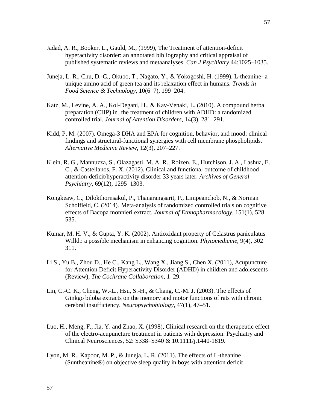- Jadad, A. R., Booker, L., Gauld, M., (1999), The Treatment of attention-deficit hyperactivity disorder: an annotated bibliography and critical appraisal of published systematic reviews and metaanalyses. *Can J Psychiatry* 44:1025–1035.
- Juneja, L. R., Chu, D.-C., Okubo, T., Nagato, Y., & Yokogoshi, H. (1999). L-theanine- a unique amino acid of green tea and its relaxation effect in humans. *Trends in Food Science & Technology*, 10(6–7), 199–204.
- Katz, M., Levine, A. A., Kol-Degani, H., & Kav-Venaki, L. (2010). A compound herbal preparation (CHP) in the treatment of children with ADHD: a randomized controlled trial. *Journal of Attention Disorders*, 14(3), 281–291.
- Kidd, P. M. (2007). Omega-3 DHA and EPA for cognition, behavior, and mood: clinical findings and structural-functional synergies with cell membrane phospholipids. *Alternative Medicine Review*, 12(3), 207–227.
- Klein, R. G., Mannuzza, S., Olazagasti, M. A. R., Roizen, E., Hutchison, J. A., Lashua, E. C., & Castellanos, F. X. (2012). Clinical and functional outcome of childhood attention-deficit/hyperactivity disorder 33 years later. *Archives of General Psychiatry*, 69(12), 1295–1303.
- Kongkeaw, C., Dilokthornsakul, P., Thanarangsarit, P., Limpeanchob, N., & Norman Scholfield, C. (2014). Meta-analysis of randomized controlled trials on cognitive effects of Bacopa monnieri extract. *Journal of Ethnopharmacology*, 151(1), 528– 535.
- Kumar, M. H. V., & Gupta, Y. K. (2002). Antioxidant property of Celastrus paniculatus Willd.: a possible mechanism in enhancing cognition. *Phytomedicine*, 9(4), 302– 311.
- Li S., Yu B., Zhou D., He C., Kang L., Wang X., Jiang S., Chen X. (2011), Acupuncture for Attention Deficit Hyperactivity Disorder (ADHD) in children and adolescents (Review), *The Cochrane Collaboration,* 1–29.
- Lin, C.-C. K., Cheng, W.-L., Hsu, S.-H., & Chang, C.-M. J. (2003). The effects of Ginkgo biloba extracts on the memory and motor functions of rats with chronic cerebral insufficiency. *Neuropsychobiology*, 47(1), 47–51.
- Luo, H., Meng, F., Jia, Y. and Zhao, X. (1998), Clinical research on the therapeutic effect of the electro-acupuncture treatment in patients with depression. Psychiatry and Clinical Neurosciences, 52: S338–S340 & 10.1111/j.1440-1819.
- Lyon, M. R., Kapoor, M. P., & Juneja, L. R. (2011). The effects of L-theanine (Suntheanine®) on objective sleep quality in boys with attention deficit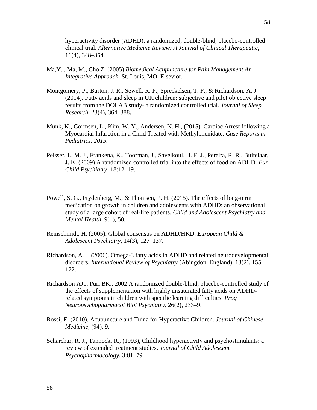hyperactivity disorder (ADHD): a randomized, double-blind, placebo-controlled clinical trial. *Alternative Medicine Review: A Journal of Clinical Therapeutic*, 16(4), 348–354.

- Ma,Y. , Ma, M., Cho Z. (2005) *Biomedical Acupuncture for Pain Management An Integrative Approach*. St. Louis, MO: Elsevior.
- Montgomery, P., Burton, J. R., Sewell, R. P., Spreckelsen, T. F., & Richardson, A. J. (2014). Fatty acids and sleep in UK children: subjective and pilot objective sleep results from the DOLAB study- a randomized controlled trial. *Journal of Sleep Research*, 23(4), 364–388.
- Munk, K., Gormsen, L., Kim, W. Y., Andersen, N. H., (2015). Cardiac Arrest following a Myocardial Infarction in a Child Treated with Methylphenidate. *Case Reports in Pediatrics*, *2015.*
- Pelsser, L. M. J., Frankena, K., Toorman, J., Savelkoul, H. F. J., Pereira, R. R., Buitelaar, J. K. (2009) A randomized controlled trial into the effects of food on ADHD. *Eur Child Psychiatry*, 18:12–19.
- Powell, S. G., Frydenberg, M., & Thomsen, P. H. (2015). The effects of long-term medication on growth in children and adolescents with ADHD: an observational study of a large cohort of real-life patients. *Child and Adolescent Psychiatry and Mental Health*, 9(1), 50.
- Remschmidt, H. (2005). Global consensus on ADHD/HKD. *European Child & Adolescent Psychiatry*, 14(3), 127–137.
- Richardson, A. J. (2006). Omega-3 fatty acids in ADHD and related neurodevelopmental disorders. *International Review of Psychiatry* (Abingdon, England), 18(2), 155– 172.
- Richardson AJ1, Puri BK., 2002 A randomized double-blind, placebo-controlled study of the effects of supplementation with highly unsaturated fatty acids on ADHDrelated symptoms in children with specific learning difficulties. *Prog Neuropsychopharmacol Biol Psychiatry*, 26(2), 233–9.
- Rossi, E. (2010). Acupuncture and Tuina for Hyperactive Children. *Journal of Chinese Medicine*, (94), 9.
- Scharchar, R. J., Tannock, R., (1993), Childhood hyperactivity and psychostimulants: a review of extended treatment studies. *Journal of Child Adolescent Psychopharmacology*, 3:81–79.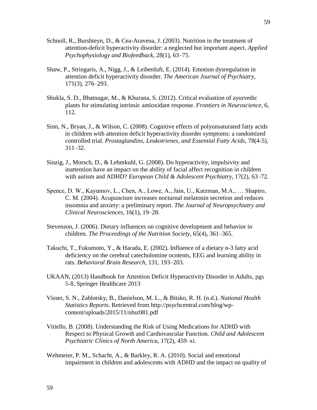- Schnoll, R., Burshteyn, D., & Cea-Aravena, J. (2003). Nutrition in the treatment of attention-deficit hyperactivity disorder: a neglected but important aspect. *Applied Psychophysiology and Biofeedback*, 28(1), 63–75.
- Shaw, P., Stringaris, A., Nigg, J., & Leibenluft, E. (2014). Emotion dysregulation in attention deficit hyperactivity disorder. *The American Journal of Psychiatry*, 171(3), 276–293.
- Shukla, S. D., Bhatnagar, M., & Khurana, S. (2012). Critical evaluation of ayurvedic plants for stimulating intrinsic antioxidant response. *Frontiers in Neuroscience*, 6, 112.
- Sinn, N., Bryan, J., & Wilson, C. (2008). Cognitive effects of polyunsaturated fatty acids in children with attention deficit hyperactivity disorder symptoms: a randomized controlled trial. *Prostaglandins, Leukotrienes, and Essential Fatty Acids*, 78(4-5), 311–32.
- Sinzig, J., Morsch, D., & Lehmkuhl, G. (2008). Do hyperactivity, impulsivity and inattention have an impact on the ability of facial affect recognition in children with autism and ADHD? *European Child & Adolescent Psychiatry*, 17(2), 63–72.
- Spence, D. W., Kayumov, L., Chen, A., Lowe, A., Jain, U., Katzman, M.A., … Shapiro, C. M. (2004). Acupuncture increases nocturnal melatonin secretion and reduces insomnia and anxiety: a preliminary report. *The Journal of Neuropsychiatry and Clinical Neurosciences*, 16(1), 19–28.
- Stevenson, J. (2006). Dietary influences on cognitive development and behavior in children. *The Proceedings of the Nutrition Society*, 65(4), 361–365.
- Takuchi, T., Fukumoto, Y., & Harada, E. (2002). Influence of a dietary n-3 fatty acid deficiency on the cerebral catecholomine ocntents, EEG and learning ability in rats. *Behavioral Brain Research,* 131, 193–203.
- UKAAN, (2013) Handbook for Attention Deficit Hyperactivity Disorder in Adults, pgs 5-8, Springer Healthcare 2013
- Visser, S. N., Zablotsky, B., Danielson, M. L., & Bitsko, R. H. (n.d.). *National Health Statistics Reports*. Retrieved from [http://psychcentral.com/blog/wp](http://psychcentral.com/blog/wp-)content/uploads/2015/11/nhsr081.pdf
- Vitiello, B. (2008). Understanding the Risk of Using Medications for ADHD with Respect to Physical Growth and Cardiovascular Function. *Child and Adolescent Psychiatric Clinics of North America*, 17(2), 459–xi.
- Wehmeier, P. M., Schacht, A., & Barkley, R. A. (2010). Social and emotional impairment in children and adolescents with ADHD and the impact on quality of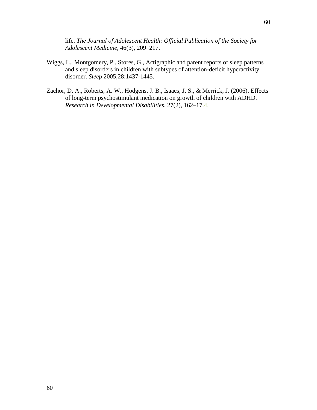life. *The Journal of Adolescent Health: Official Publication of the Society for Adolescent Medicine*, 46(3), 209–217.

- Wiggs, L., Montgomery, P., Stores, G., Actigraphic and parent reports of sleep patterns and sleep disorders in children with subtypes of attention-deficit hyperactivity disorder. *Sleep* 2005;28:1437-1445.
- Zachor, D. A., Roberts, A. W., Hodgens, J. B., Isaacs, J. S., & Merrick, J. (2006). Effects of long-term psychostimulant medication on growth of children with ADHD. *Research in Developmental Disabilities*, 27(2), 162–17.4.